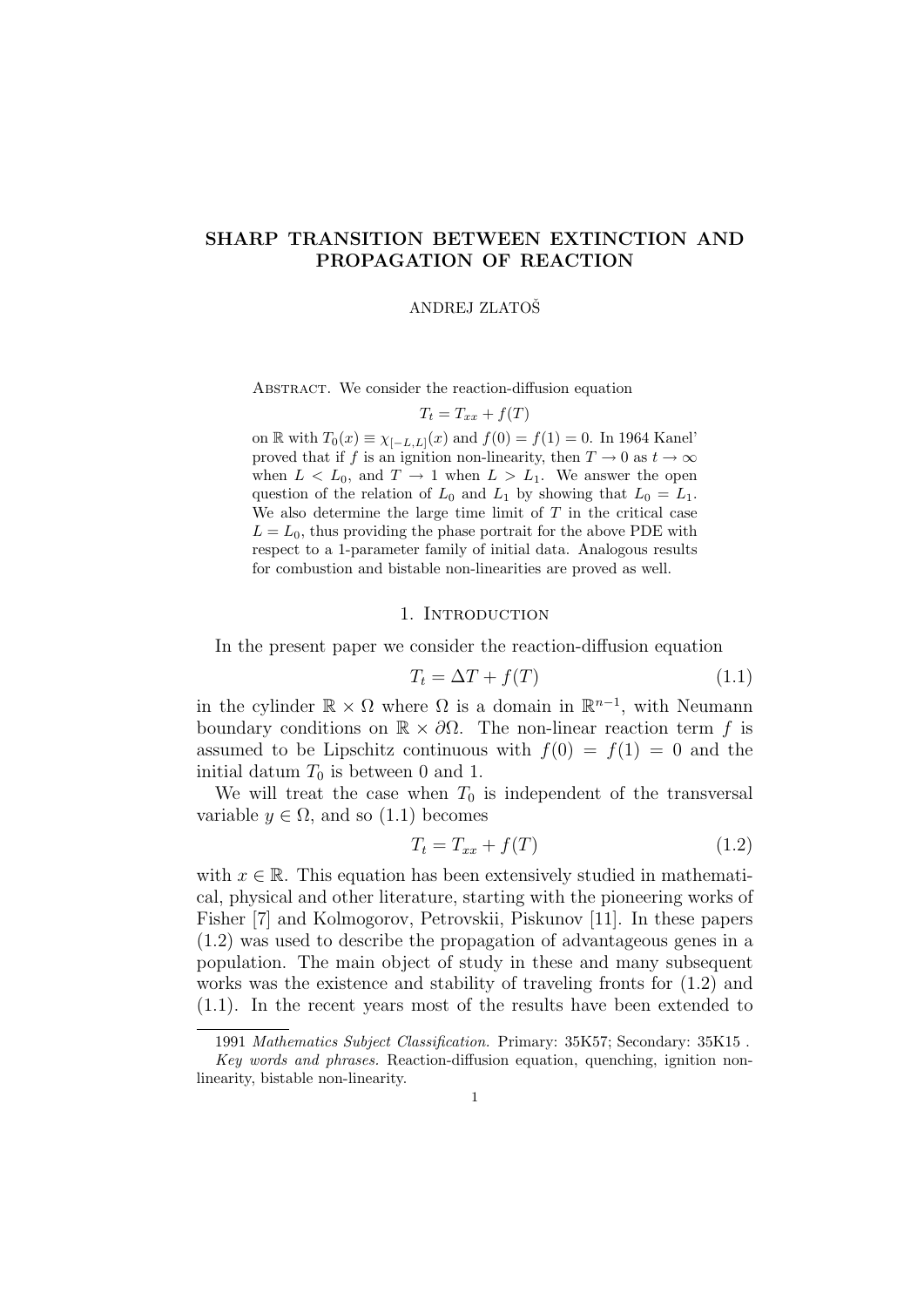# SHARP TRANSITION BETWEEN EXTINCTION AND PROPAGATION OF REACTION

#### ANDREJ ZLATOSˇ

ABSTRACT. We consider the reaction-diffusion equation

$$
T_t = T_{xx} + f(T)
$$

on R with  $T_0(x) \equiv \chi_{[-L,L]}(x)$  and  $f(0) = f(1) = 0$ . In 1964 Kanel' proved that if f is an ignition non-linearity, then  $T \to 0$  as  $t \to \infty$ when  $L < L_0$ , and  $T \rightarrow 1$  when  $L > L_1$ . We answer the open question of the relation of  $L_0$  and  $L_1$  by showing that  $L_0 = L_1$ . We also determine the large time limit of  $T$  in the critical case  $L = L_0$ , thus providing the phase portrait for the above PDE with respect to a 1-parameter family of initial data. Analogous results for combustion and bistable non-linearities are proved as well.

#### 1. INTRODUCTION

In the present paper we consider the reaction-diffusion equation

$$
T_t = \Delta T + f(T) \tag{1.1}
$$

in the cylinder  $\mathbb{R} \times \Omega$  where  $\Omega$  is a domain in  $\mathbb{R}^{n-1}$ , with Neumann boundary conditions on  $\mathbb{R} \times \partial\Omega$ . The non-linear reaction term f is assumed to be Lipschitz continuous with  $f(0) = f(1) = 0$  and the initial datum  $T_0$  is between 0 and 1.

We will treat the case when  $T_0$  is independent of the transversal variable  $y \in \Omega$ , and so (1.1) becomes

$$
T_t = T_{xx} + f(T) \tag{1.2}
$$

with  $x \in \mathbb{R}$ . This equation has been extensively studied in mathematical, physical and other literature, starting with the pioneering works of Fisher [7] and Kolmogorov, Petrovskii, Piskunov [11]. In these papers (1.2) was used to describe the propagation of advantageous genes in a population. The main object of study in these and many subsequent works was the existence and stability of traveling fronts for (1.2) and (1.1). In the recent years most of the results have been extended to

<sup>1991</sup> Mathematics Subject Classification. Primary: 35K57; Secondary: 35K15 .

Key words and phrases. Reaction-diffusion equation, quenching, ignition nonlinearity, bistable non-linearity.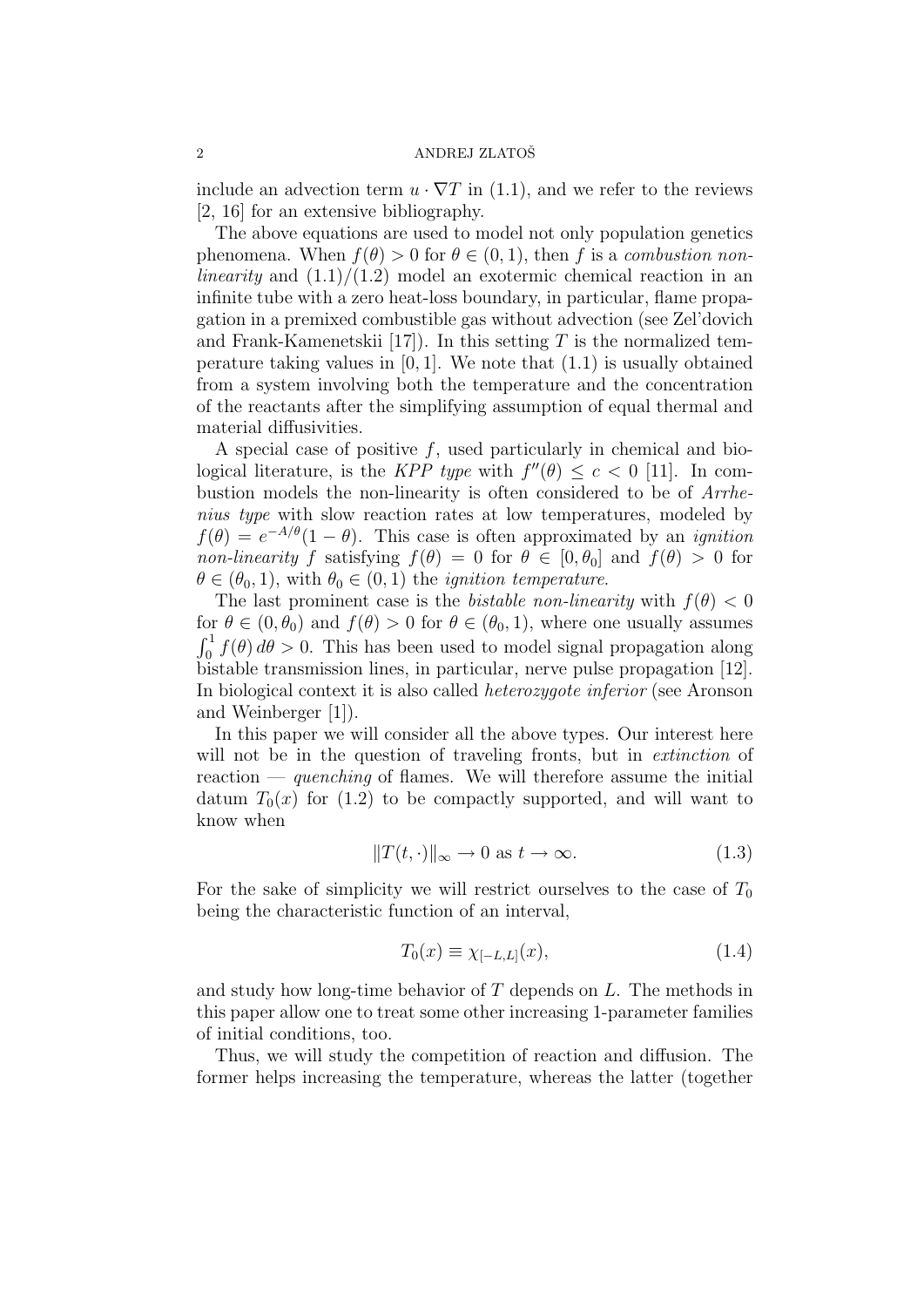include an advection term  $u \cdot \nabla T$  in (1.1), and we refer to the reviews [2, 16] for an extensive bibliography.

The above equations are used to model not only population genetics phenomena. When  $f(\theta) > 0$  for  $\theta \in (0, 1)$ , then f is a combustion nonlinearity and  $(1.1)/(1.2)$  model an exotermic chemical reaction in an infinite tube with a zero heat-loss boundary, in particular, flame propagation in a premixed combustible gas without advection (see Zel'dovich and Frank-Kamenetskii [17]). In this setting  $T$  is the normalized temperature taking values in  $[0, 1]$ . We note that  $(1.1)$  is usually obtained from a system involving both the temperature and the concentration of the reactants after the simplifying assumption of equal thermal and material diffusivities.

A special case of positive f, used particularly in chemical and biological literature, is the KPP type with  $f''(\theta) \leq c < 0$  [11]. In combustion models the non-linearity is often considered to be of Arrhenius type with slow reaction rates at low temperatures, modeled by  $f(\theta) = e^{-A/\theta}(1-\theta)$ . This case is often approximated by an *ignition* non-linearity f satisfying  $f(\theta) = 0$  for  $\theta \in [0, \theta_0]$  and  $f(\theta) > 0$  for  $\theta \in (\theta_0, 1)$ , with  $\theta_0 \in (0, 1)$  the *ignition temperature*.

The last prominent case is the *bistable non-linearity* with  $f(\theta) < 0$ for  $\theta \in (0, \theta_0)$  and  $f(\theta) > 0$  for  $\theta \in (\theta_0, 1)$ , where one usually assumes  $\int_0^1 f(\theta) d\theta > 0$ . This has been used to model signal propagation along bistable transmission lines, in particular, nerve pulse propagation [12]. In biological context it is also called heterozygote inferior (see Aronson and Weinberger [1]).

In this paper we will consider all the above types. Our interest here will not be in the question of traveling fronts, but in *extinction* of reaction — quenching of flames. We will therefore assume the initial datum  $T_0(x)$  for (1.2) to be compactly supported, and will want to know when

$$
||T(t, \cdot)||_{\infty} \to 0 \text{ as } t \to \infty.
$$
 (1.3)

For the sake of simplicity we will restrict ourselves to the case of  $T_0$ being the characteristic function of an interval,

$$
T_0(x) \equiv \chi_{[-L,L]}(x),\tag{1.4}
$$

and study how long-time behavior of T depends on L. The methods in this paper allow one to treat some other increasing 1-parameter families of initial conditions, too.

Thus, we will study the competition of reaction and diffusion. The former helps increasing the temperature, whereas the latter (together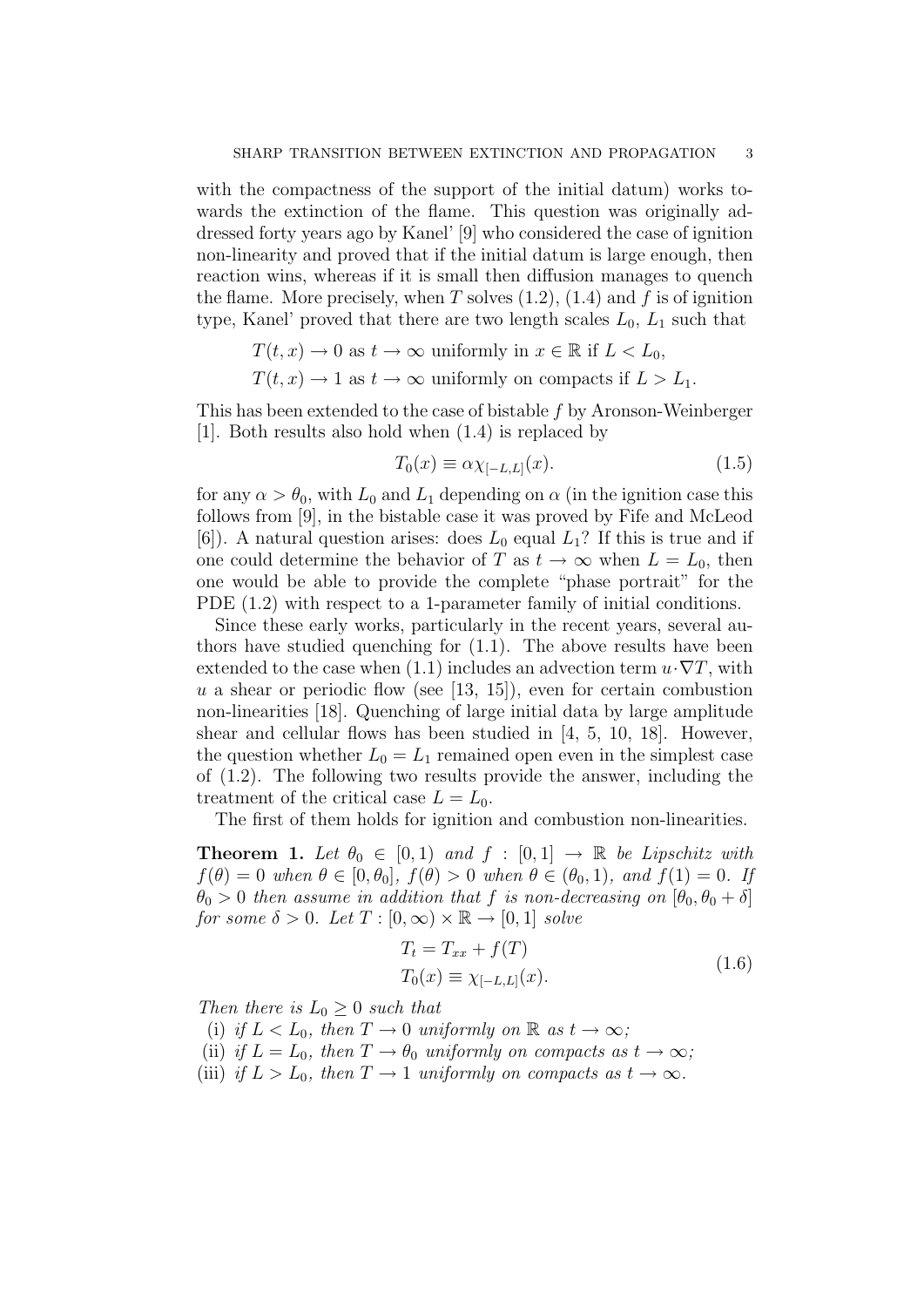with the compactness of the support of the initial datum) works towards the extinction of the flame. This question was originally addressed forty years ago by Kanel' [9] who considered the case of ignition non-linearity and proved that if the initial datum is large enough, then reaction wins, whereas if it is small then diffusion manages to quench the flame. More precisely, when T solves  $(1.2)$ ,  $(1.4)$  and f is of ignition type, Kanel' proved that there are two length scales  $L_0$ ,  $L_1$  such that

$$
T(t, x) \to 0 \text{ as } t \to \infty \text{ uniformly in } x \in \mathbb{R} \text{ if } L < L_0,
$$
\n
$$
T(t, x) \to 1 \text{ as } t \to \infty \text{ uniformly on compacts if } L > L_1.
$$

This has been extended to the case of bistable f by Aronson-Weinberger [1]. Both results also hold when (1.4) is replaced by

$$
T_0(x) \equiv \alpha \chi_{[-L,L]}(x). \tag{1.5}
$$

for any  $\alpha > \theta_0$ , with  $L_0$  and  $L_1$  depending on  $\alpha$  (in the ignition case this follows from [9], in the bistable case it was proved by Fife and McLeod [6]). A natural question arises: does  $L_0$  equal  $L_1$ ? If this is true and if one could determine the behavior of T as  $t \to \infty$  when  $L = L_0$ , then one would be able to provide the complete "phase portrait" for the PDE  $(1.2)$  with respect to a 1-parameter family of initial conditions.

Since these early works, particularly in the recent years, several authors have studied quenching for (1.1). The above results have been extended to the case when (1.1) includes an advection term  $u \cdot \nabla T$ , with  $u$  a shear or periodic flow (see [13, 15]), even for certain combustion non-linearities [18]. Quenching of large initial data by large amplitude shear and cellular flows has been studied in [4, 5, 10, 18]. However, the question whether  $L_0 = L_1$  remained open even in the simplest case of (1.2). The following two results provide the answer, including the treatment of the critical case  $L = L_0$ .

The first of them holds for ignition and combustion non-linearities.

**Theorem 1.** Let  $\theta_0 \in [0,1]$  and  $f : [0,1] \rightarrow \mathbb{R}$  be Lipschitz with  $f(\theta) = 0$  when  $\theta \in [0, \theta_0], f(\theta) > 0$  when  $\theta \in (\theta_0, 1),$  and  $f(1) = 0$ . If  $\theta_0 > 0$  then assume in addition that f is non-decreasing on  $[\theta_0, \theta_0 + \delta]$ for some  $\delta > 0$ . Let  $T : [0, \infty) \times \mathbb{R} \to [0, 1]$  solve

$$
T_t = T_{xx} + f(T)
$$
  
\n
$$
T_0(x) \equiv \chi_{[-L,L]}(x).
$$
\n(1.6)

Then there is  $L_0 \geq 0$  such that

- (i) if  $L < L_0$ , then  $T \to 0$  uniformly on  $\mathbb R$  as  $t \to \infty$ ;
- (ii) if  $L = L_0$ , then  $T \to \theta_0$  uniformly on compacts as  $t \to \infty$ ;
- (iii) if  $L > L_0$ , then  $T \to 1$  uniformly on compacts as  $t \to \infty$ .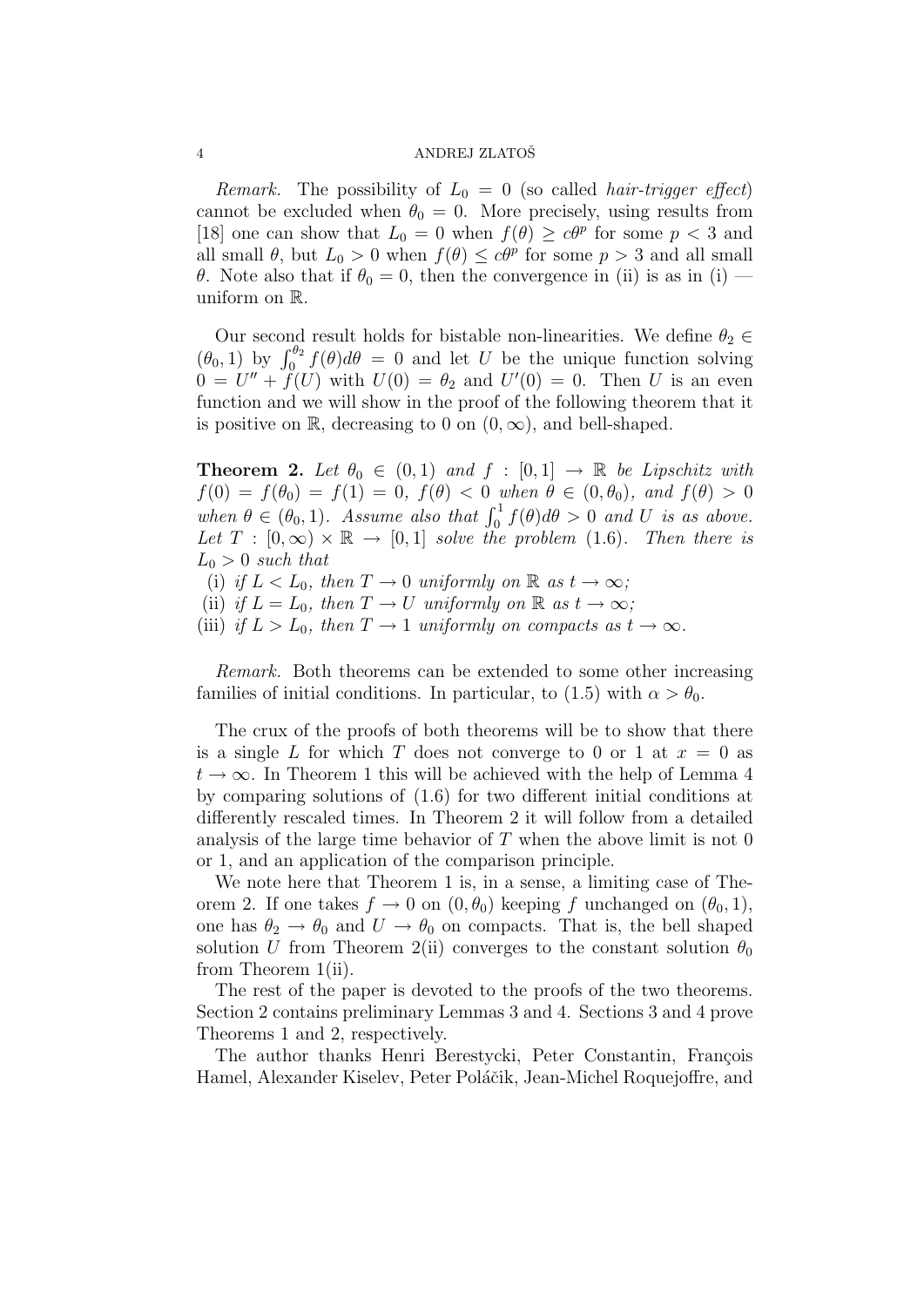*Remark.* The possibility of  $L_0 = 0$  (so called *hair-trigger effect*) cannot be excluded when  $\theta_0 = 0$ . More precisely, using results from [18] one can show that  $L_0 = 0$  when  $f(\theta) \geq c\theta^p$  for some  $p < 3$  and all small  $\theta$ , but  $L_0 > 0$  when  $f(\theta) \leq c\theta^p$  for some  $p > 3$  and all small θ. Note also that if  $θ_0 = 0$ , then the convergence in (ii) is as in (i) – uniform on R.

Our second result holds for bistable non-linearities. We define  $\theta_2 \in$  $(\theta_0, 1)$  by  $\int_0^{\theta_2} f(\theta) d\theta = 0$  and let U be the unique function solving  $0 = U'' + \tilde{f}(U)$  with  $U(0) = \theta_2$  and  $U'(0) = 0$ . Then U is an even function and we will show in the proof of the following theorem that it is positive on R, decreasing to 0 on  $(0, \infty)$ , and bell-shaped.

**Theorem 2.** Let  $\theta_0 \in (0,1)$  and  $f : [0,1] \rightarrow \mathbb{R}$  be Lipschitz with  $f(0) = f(\theta_0) = f(1) = 0, \ f(\theta) < 0 \text{ when } \theta \in (0, \theta_0), \text{ and } f(\theta) > 0$ when  $\theta \in (\theta_0, 1)$ . Assume also that  $\int_0^1 f(\theta) d\theta > 0$  and U is as above. Let  $T : [0, \infty) \times \mathbb{R} \to [0, 1]$  solve the problem (1.6). Then there is  $L_0 > 0$  such that

(i) if  $L < L_0$ , then  $T \to 0$  uniformly on  $\mathbb R$  as  $t \to \infty$ ;

(ii) if  $L = L_0$ , then  $T \to U$  uniformly on  $\mathbb R$  as  $t \to \infty$ ;

(iii) if  $L > L_0$ , then  $T \to 1$  uniformly on compacts as  $t \to \infty$ .

Remark. Both theorems can be extended to some other increasing families of initial conditions. In particular, to (1.5) with  $\alpha > \theta_0$ .

The crux of the proofs of both theorems will be to show that there is a single L for which T does not converge to 0 or 1 at  $x = 0$  as  $t \to \infty$ . In Theorem 1 this will be achieved with the help of Lemma 4 by comparing solutions of (1.6) for two different initial conditions at differently rescaled times. In Theorem 2 it will follow from a detailed analysis of the large time behavior of  $T$  when the above limit is not 0 or 1, and an application of the comparison principle.

We note here that Theorem 1 is, in a sense, a limiting case of Theorem 2. If one takes  $f \to 0$  on  $(0, \theta_0)$  keeping f unchanged on  $(\theta_0, 1)$ , one has  $\theta_2 \rightarrow \theta_0$  and  $U \rightarrow \theta_0$  on compacts. That is, the bell shaped solution U from Theorem 2(ii) converges to the constant solution  $\theta_0$ from Theorem 1(ii).

The rest of the paper is devoted to the proofs of the two theorems. Section 2 contains preliminary Lemmas 3 and 4. Sections 3 and 4 prove Theorems 1 and 2, respectively.

The author thanks Henri Berestycki, Peter Constantin, François Hamel, Alexander Kiselev, Peter Poláčik, Jean-Michel Roquejoffre, and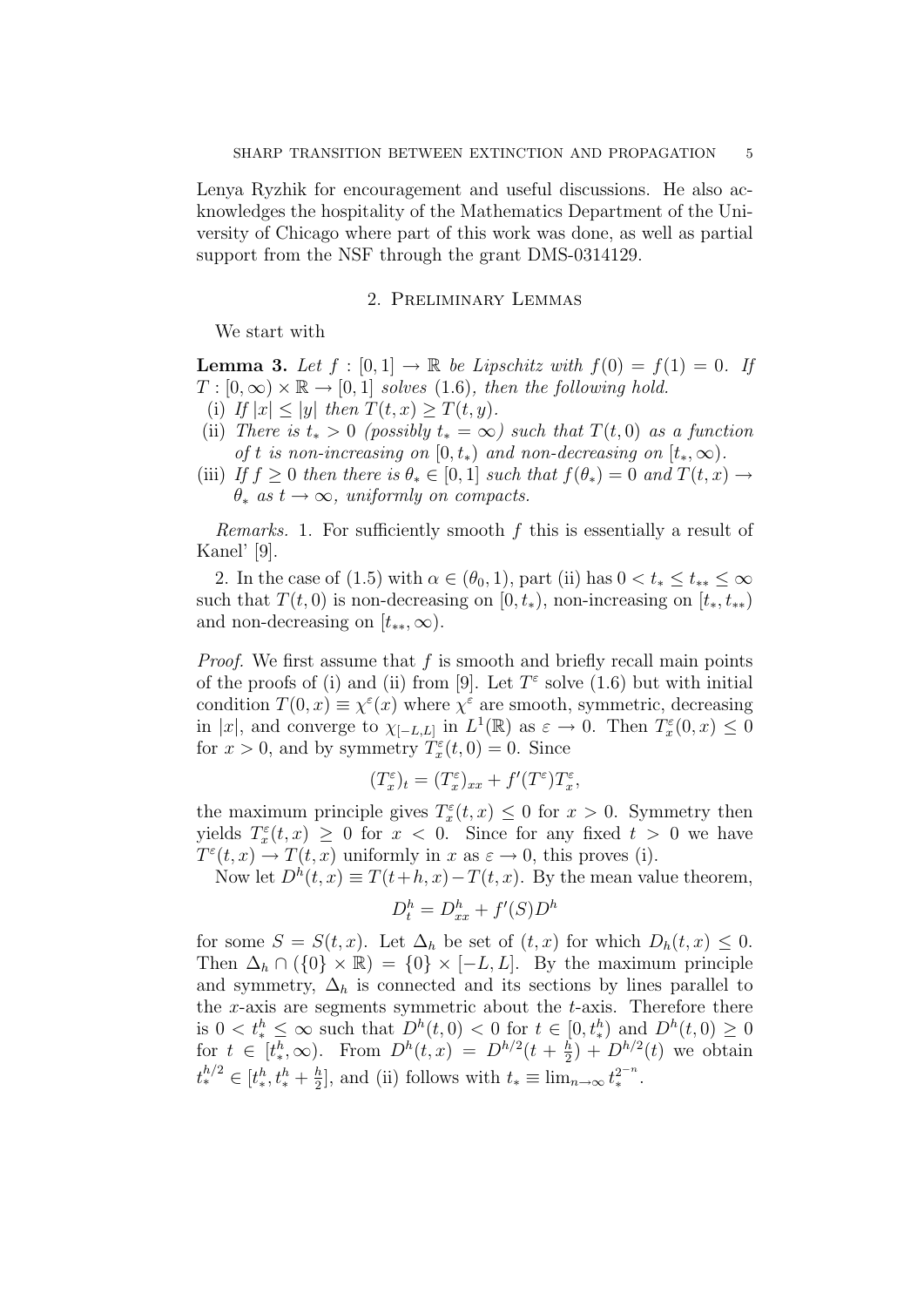Lenya Ryzhik for encouragement and useful discussions. He also acknowledges the hospitality of the Mathematics Department of the University of Chicago where part of this work was done, as well as partial support from the NSF through the grant DMS-0314129.

#### 2. Preliminary Lemmas

We start with

**Lemma 3.** Let  $f : [0,1] \to \mathbb{R}$  be Lipschitz with  $f(0) = f(1) = 0$ . If  $T : [0, \infty) \times \mathbb{R} \to [0, 1]$  solves (1.6), then the following hold.

- (i) If  $|x| \le |y|$  then  $T(t,x) \ge T(t,y)$ .
- (ii) There is  $t_* > 0$  (possibly  $t_* = \infty$ ) such that  $T(t, 0)$  as a function of t is non-increasing on  $[0, t_*)$  and non-decreasing on  $[t_*, \infty)$ .
- (iii) If  $f ">= 0$  then there is  $\theta_* \in [0,1]$  such that  $f(\theta_*) = 0$  and  $T(t,x) \to$  $\theta_*$  as  $t \to \infty$ , uniformly on compacts.

Remarks. 1. For sufficiently smooth f this is essentially a result of Kanel' [9].

2. In the case of (1.5) with  $\alpha \in (\theta_0, 1)$ , part (ii) has  $0 < t_* \leq t_{**} \leq \infty$ such that  $T(t, 0)$  is non-decreasing on  $[0, t_*)$ , non-increasing on  $[t_*, t_{**})$ and non-decreasing on  $[t_{**}, \infty)$ .

*Proof.* We first assume that  $f$  is smooth and briefly recall main points of the proofs of (i) and (ii) from [9]. Let  $T^{\epsilon}$  solve (1.6) but with initial condition  $T(0, x) \equiv \chi^{\varepsilon}(x)$  where  $\chi^{\varepsilon}$  are smooth, symmetric, decreasing in |x|, and converge to  $\chi_{[-L,L]}$  in  $L^1(\mathbb{R})$  as  $\varepsilon \to 0$ . Then  $T_x^{\varepsilon}(0,x) \leq 0$ for  $x > 0$ , and by symmetry  $\dot{T}_x^{\varepsilon}(t,0) = 0$ . Since

$$
(T_x^\varepsilon)_t = (T_x^\varepsilon)_{xx} + f'(T^\varepsilon)T_x^\varepsilon,
$$

the maximum principle gives  $T_x^{\varepsilon}(t, x) \leq 0$  for  $x > 0$ . Symmetry then yields  $T_x^{\varepsilon}(t,x) \geq 0$  for  $x < 0$ . Since for any fixed  $t > 0$  we have  $T^{\varepsilon}(t,x) \to T(t,x)$  uniformly in  $x$  as  $\varepsilon \to 0$ , this proves (i).

Now let  $D^h(t, x) \equiv T(t+h, x) - T(t, x)$ . By the mean value theorem,

$$
D_t^h = D_{xx}^h + f'(S)D^h
$$

for some  $S = S(t, x)$ . Let  $\Delta_h$  be set of  $(t, x)$  for which  $D_h(t, x) \leq 0$ . Then  $\Delta_h \cap (\{0\} \times \mathbb{R}) = \{0\} \times [-L, L]$ . By the maximum principle and symmetry,  $\Delta_h$  is connected and its sections by lines parallel to the x-axis are segments symmetric about the  $t$ -axis. Therefore there is  $0 < t_*^h \leq \infty$  such that  $D^h(t,0) < 0$  for  $t \in [0, t_*^h)$  and  $D^h(t,0) \geq 0$ for  $t \in [t^h_*, \infty)$ . From  $D^h(t, x) = D^{h/2}(t + \frac{h}{2})$  $\frac{h}{2}$  +  $D^{h/2}(t)$  we obtain  $t_{*}^{h/2} \in [t_{*}^{h}, t_{*}^{h} + \frac{h}{2}$  $\frac{h}{2}$ , and (ii) follows with  $t_* \equiv \lim_{n \to \infty} t_*^{2^{-n}}$ .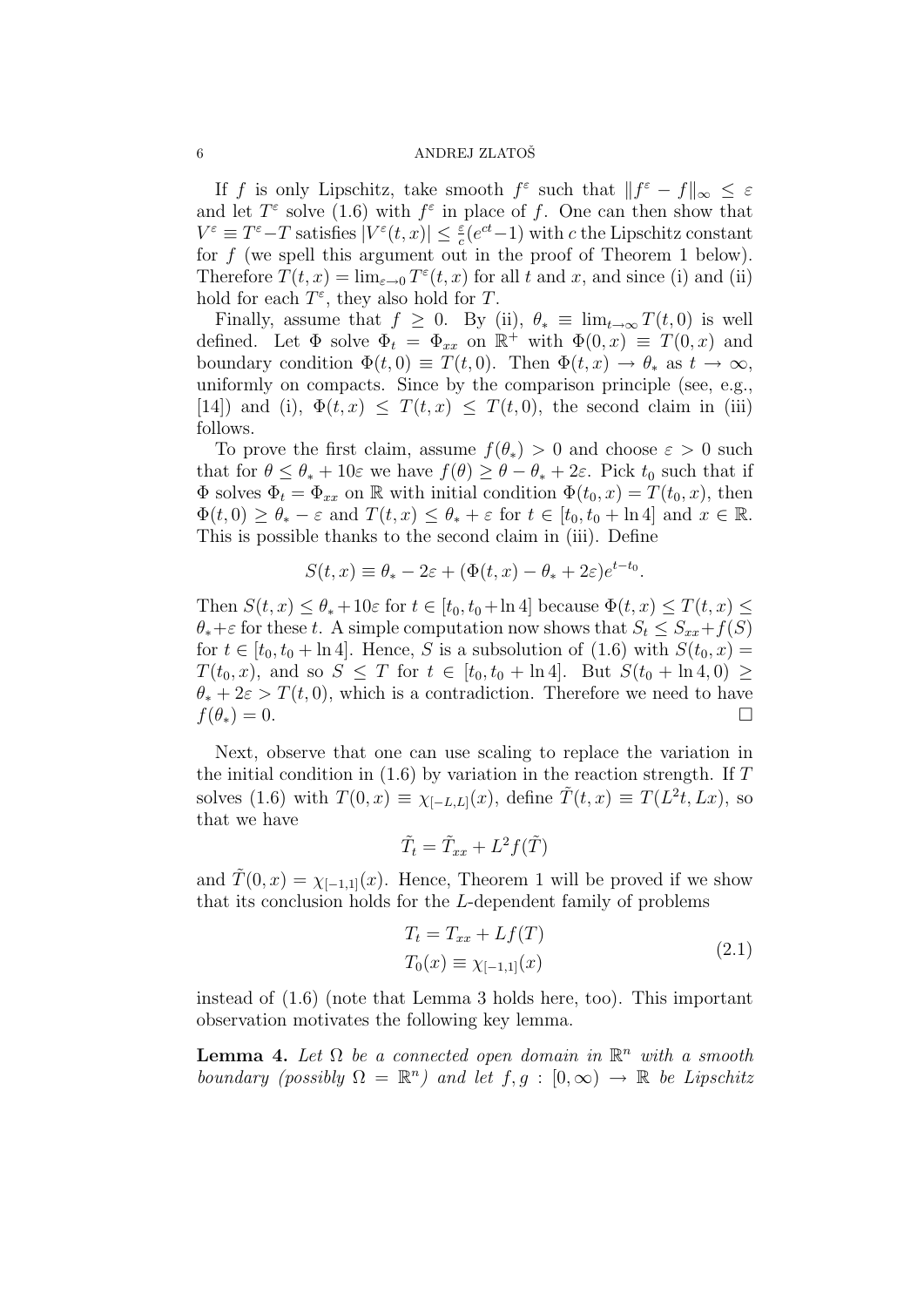If f is only Lipschitz, take smooth  $f^{\varepsilon}$  such that  $||f^{\varepsilon} - f||_{\infty} \leq \varepsilon$ and let  $T^{\varepsilon}$  solve (1.6) with  $f^{\varepsilon}$  in place of f. One can then show that  $V^{\varepsilon} \equiv T^{\varepsilon} - T$  satisfies  $|V^{\varepsilon}(t,x)| \leq \frac{\varepsilon}{c} (e^{ct} - 1)$  with c the Lipschitz constant for  $f$  (we spell this argument out in the proof of Theorem 1 below). Therefore  $T(t, x) = \lim_{\varepsilon \to 0} T^{\varepsilon}(t, x)$  for all t and x, and since (i) and (ii) hold for each  $T^{\varepsilon}$ , they also hold for T.

Finally, assume that  $f \geq 0$ . By (ii),  $\theta_* \equiv \lim_{t \to \infty} T(t, 0)$  is well defined. Let  $\Phi$  solve  $\Phi_t = \Phi_{xx}$  on  $\mathbb{R}^+$  with  $\Phi(0, x) \equiv T(0, x)$  and boundary condition  $\Phi(t,0) \equiv T(t,0)$ . Then  $\Phi(t,x) \to \theta_*$  as  $t \to \infty$ , uniformly on compacts. Since by the comparison principle (see, e.g., [14]) and (i),  $\Phi(t, x) \leq T(t, x) \leq T(t, 0)$ , the second claim in (iii) follows.

To prove the first claim, assume  $f(\theta_*) > 0$  and choose  $\varepsilon > 0$  such that for  $\theta \leq \theta_* + 10\varepsilon$  we have  $f(\theta) \geq \theta - \theta_* + 2\varepsilon$ . Pick  $t_0$  such that if  $\Phi$  solves  $\Phi_t = \Phi_{xx}$  on R with initial condition  $\Phi(t_0, x) = T(t_0, x)$ , then  $\Phi(t,0) \geq \theta_* - \varepsilon$  and  $T(t,x) \leq \theta_* + \varepsilon$  for  $t \in [t_0, t_0 + \ln 4]$  and  $x \in \mathbb{R}$ . This is possible thanks to the second claim in (iii). Define

$$
S(t, x) \equiv \theta_* - 2\varepsilon + (\Phi(t, x) - \theta_* + 2\varepsilon)e^{t - t_0}.
$$

Then  $S(t, x) \leq \theta_* + 10\varepsilon$  for  $t \in [t_0, t_0 + \ln 4]$  because  $\Phi(t, x) \leq T(t, x) \leq$  $\theta_* + \varepsilon$  for these t. A simple computation now shows that  $S_t \leq S_{xx} + f(S)$ for  $t \in [t_0, t_0 + \ln 4]$ . Hence, S is a subsolution of  $(1.6)$  with  $S(t_0, x) =$  $T(t_0, x)$ , and so  $S \leq T$  for  $t \in [t_0, t_0 + \ln 4]$ . But  $S(t_0 + \ln 4, 0) \geq$  $\theta_* + 2\varepsilon > T(t,0)$ , which is a contradiction. Therefore we need to have  $f(\theta_*) = 0.$ 

Next, observe that one can use scaling to replace the variation in the initial condition in  $(1.6)$  by variation in the reaction strength. If T solves (1.6) with  $T(0, x) \equiv \chi_{[-L,L]}(x)$ , define  $\tilde{T}(t, x) \equiv T(L^2t, Lx)$ , so that we have

$$
\tilde{T}_t = \tilde{T}_{xx} + L^2 f(\tilde{T})
$$

and  $\tilde{T}(0, x) = \chi_{[-1,1]}(x)$ . Hence, Theorem 1 will be proved if we show that its conclusion holds for the L-dependent family of problems

$$
T_t = T_{xx} + Lf(T)
$$
  
\n
$$
T_0(x) \equiv \chi_{[-1,1]}(x)
$$
\n(2.1)

instead of (1.6) (note that Lemma 3 holds here, too). This important observation motivates the following key lemma.

**Lemma 4.** Let  $\Omega$  be a connected open domain in  $\mathbb{R}^n$  with a smooth boundary (possibly  $\Omega = \mathbb{R}^n$ ) and let  $f, g : [0, \infty) \to \mathbb{R}$  be Lipschitz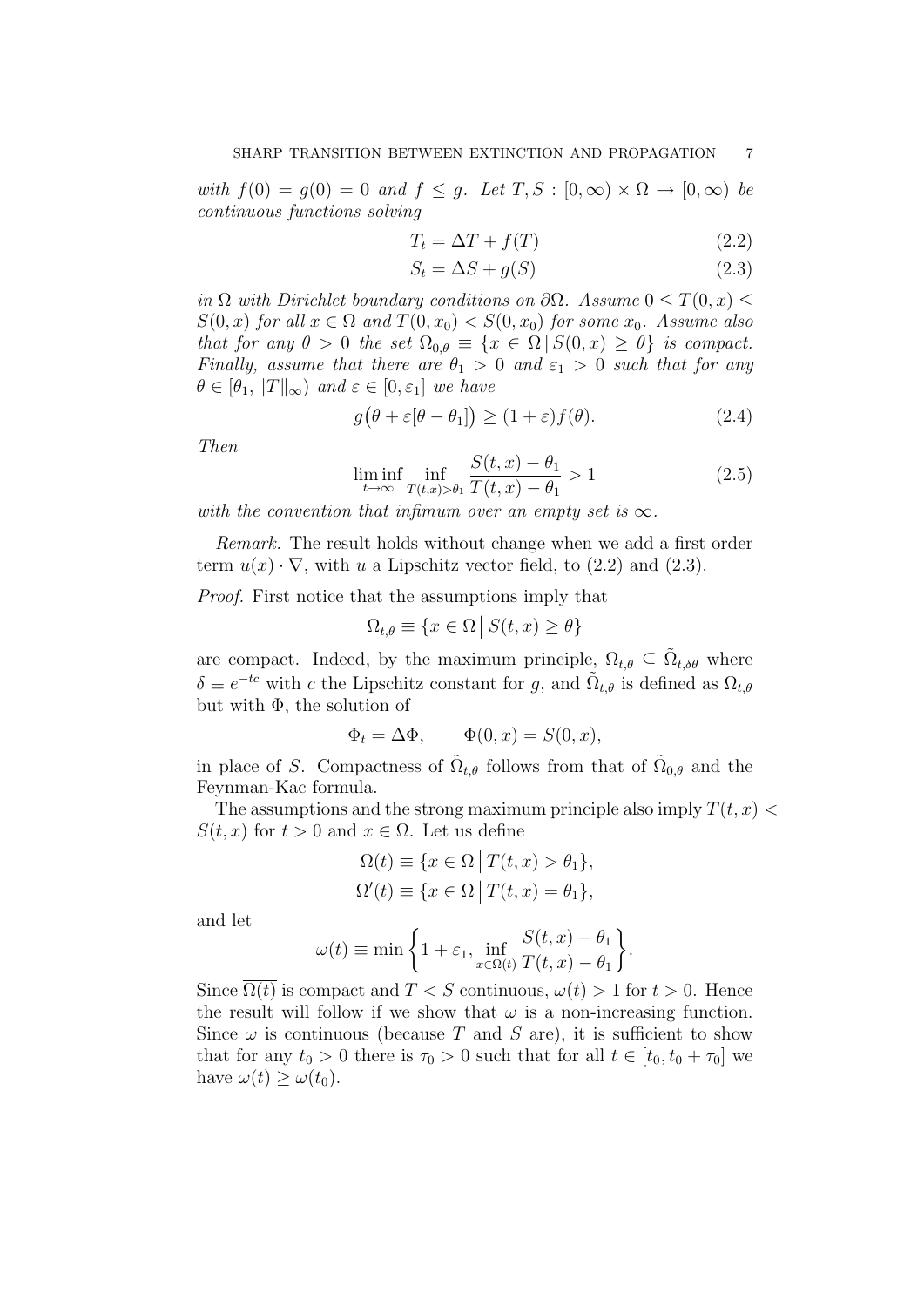with  $f(0) = g(0) = 0$  and  $f \leq g$ . Let  $T, S : [0, \infty) \times \Omega \to [0, \infty)$  be continuous functions solving

$$
T_t = \Delta T + f(T) \tag{2.2}
$$

$$
S_t = \Delta S + g(S) \tag{2.3}
$$

in  $\Omega$  with Dirichlet boundary conditions on  $\partial\Omega$ . Assume  $0 \leq T(0, x) \leq$  $S(0, x)$  for all  $x \in \Omega$  and  $T(0, x_0) < S(0, x_0)$  for some  $x_0$ . Assume also that for any  $\theta > 0$  the set  $\Omega_{0,\theta} \equiv \{x \in \Omega \mid S(0,x) \geq \theta\}$  is compact. Finally, assume that there are  $\theta_1 > 0$  and  $\varepsilon_1 > 0$  such that for any  $\theta \in [\theta_1, \|T\|_{\infty})$  and  $\varepsilon \in [0, \varepsilon_1]$  we have

$$
g(\theta + \varepsilon[\theta - \theta_1]) \ge (1 + \varepsilon)f(\theta). \tag{2.4}
$$

Then

$$
\liminf_{t \to \infty} \inf_{T(t,x) > \theta_1} \frac{S(t,x) - \theta_1}{T(t,x) - \theta_1} > 1
$$
\n(2.5)

with the convention that infimum over an empty set is  $\infty$ .

Remark. The result holds without change when we add a first order term  $u(x) \cdot \nabla$ , with u a Lipschitz vector field, to (2.2) and (2.3).

Proof. First notice that the assumptions imply that

$$
\Omega_{t,\theta} \equiv \{ x \in \Omega \, \big| \, S(t,x) \ge \theta \}
$$

are compact. Indeed, by the maximum principle,  $\Omega_{t,\theta} \subseteq \tilde{\Omega}_{t,\delta\theta}$  where  $\delta \equiv e^{-tc}$  with c the Lipschitz constant for g, and  $\tilde{\Omega}_{t,\theta}$  is defined as  $\Omega_{t,\theta}$ but with  $\Phi$ , the solution of

$$
\Phi_t = \Delta \Phi, \qquad \Phi(0, x) = S(0, x),
$$

in place of S. Compactness of  $\tilde{\Omega}_{t,\theta}$  follows from that of  $\tilde{\Omega}_{0,\theta}$  and the Feynman-Kac formula.

The assumptions and the strong maximum principle also imply  $T(t, x)$  $S(t, x)$  for  $t > 0$  and  $x \in \Omega$ . Let us define

$$
\Omega(t) \equiv \{ x \in \Omega \mid T(t, x) > \theta_1 \},
$$
  

$$
\Omega'(t) \equiv \{ x \in \Omega \mid T(t, x) = \theta_1 \},
$$

and let

$$
\omega(t) \equiv \min \left\{ 1 + \varepsilon_1, \inf_{x \in \Omega(t)} \frac{S(t, x) - \theta_1}{T(t, x) - \theta_1} \right\}.
$$

Since  $\overline{\Omega(t)}$  is compact and  $T < S$  continuous,  $\omega(t) > 1$  for  $t > 0$ . Hence the result will follow if we show that  $\omega$  is a non-increasing function. Since  $\omega$  is continuous (because T and S are), it is sufficient to show that for any  $t_0 > 0$  there is  $\tau_0 > 0$  such that for all  $t \in [t_0, t_0 + \tau_0]$  we have  $\omega(t) > \omega(t_0)$ .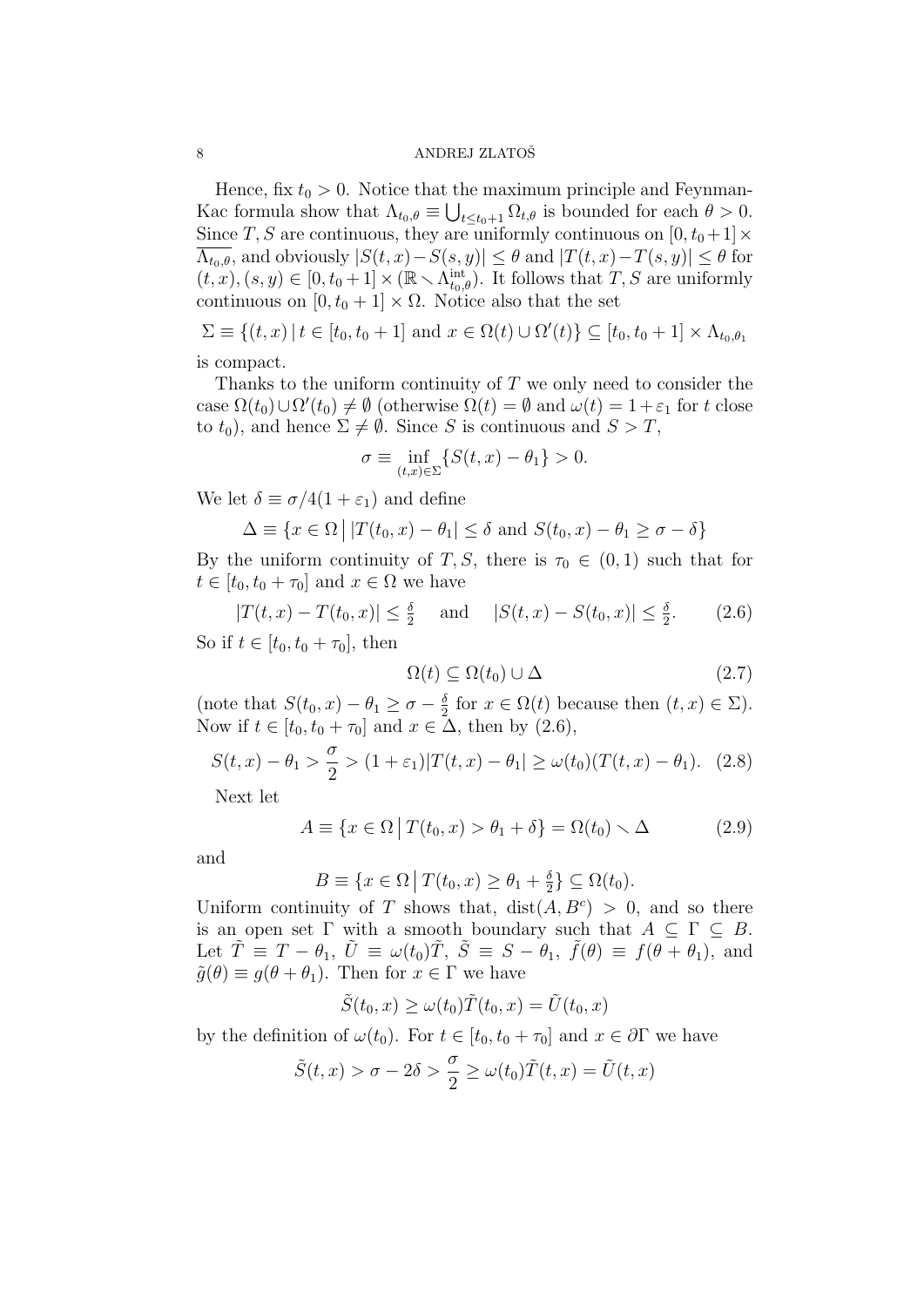Hence, fix  $t_0 > 0$ . Notice that the maximum principle and Feynman-Kac formula show that  $\Lambda_{t_0,\theta} \equiv \bigcup_{t \leq t_0+1} \Omega_{t,\theta}$  is bounded for each  $\theta > 0$ . Since T, S are continuous, they are uniformly continuous on  $[0, t_0+1] \times$  $\Lambda_{t_0,\theta}$ , and obviously  $|S(t,x)-S(s,y)| \leq \theta$  and  $|T(t,x)-T(s,y)| \leq \theta$  for  $(t, x), (s, y) \in [0, t_0 + 1] \times (\mathbb{R} \setminus \Lambda_{t_0, \theta}^{\text{int}})$ . It follows that  $T, S$  are uniformly continuous on  $[0, t_0 + 1] \times \Omega$ . Notice also that the set

 $\Sigma \equiv \{(t,x) | t \in [t_0, t_0 + 1] \text{ and } x \in \Omega(t) \cup \Omega'(t)\} \subseteq [t_0, t_0 + 1] \times \Lambda_{t_0, \theta_1}$ is compact.

Thanks to the uniform continuity of  $T$  we only need to consider the case  $\Omega(t_0) \cup \Omega'(t_0) \neq \emptyset$  (otherwise  $\Omega(t) = \emptyset$  and  $\omega(t) = 1 + \varepsilon_1$  for t close to  $t_0$ , and hence  $\Sigma \neq \emptyset$ . Since S is continuous and  $S > T$ ,

$$
\sigma \equiv \inf_{(t,x)\in\Sigma} \{ S(t,x) - \theta_1 \} > 0.
$$

We let  $\delta \equiv \sigma/4(1+\varepsilon_1)$  and define

$$
\Delta \equiv \{x \in \Omega \mid |T(t_0, x) - \theta_1| \le \delta \text{ and } S(t_0, x) - \theta_1 \ge \sigma - \delta\}
$$

By the uniform continuity of T, S, there is  $\tau_0 \in (0,1)$  such that for  $t \in [t_0, t_0 + \tau_0]$  and  $x \in \Omega$  we have

$$
|T(t, x) - T(t_0, x)| \le \frac{\delta}{2} \quad \text{and} \quad |S(t, x) - S(t_0, x)| \le \frac{\delta}{2}.
$$
 (2.6)  
So if  $t \in [t_0, t_0 + \tau_0]$ , then

$$
\Omega(t) \subseteq \Omega(t_0) \cup \Delta \tag{2.7}
$$

(note that  $S(t_0, x) - \theta_1 \ge \sigma - \frac{\delta}{2}$  $\frac{\delta}{2}$  for  $x \in \Omega(t)$  because then  $(t, x) \in \Sigma$ ). Now if  $t \in [t_0, t_0 + \tau_0]$  and  $x \in \Delta$ , then by  $(2.6)$ ,

$$
S(t, x) - \theta_1 > \frac{\sigma}{2} > (1 + \varepsilon_1)|T(t, x) - \theta_1| \ge \omega(t_0)(T(t, x) - \theta_1).
$$
 (2.8)

Next let

$$
A \equiv \{x \in \Omega \mid T(t_0, x) > \theta_1 + \delta\} = \Omega(t_0) \smallsetminus \Delta \tag{2.9}
$$

and

 $B \equiv \{x \in \Omega \mid T(t_0, x) \ge \theta_1 + \frac{\delta}{2}\}$  $\frac{\delta}{2}$   $\}$   $\subseteq$   $\Omega(t_0)$ .

Uniform continuity of T shows that,  $dist(A, B<sup>c</sup>) > 0$ , and so there is an open set  $\Gamma$  with a smooth boundary such that  $A \subseteq \Gamma \subseteq B$ . Let  $\tilde{T} \equiv T - \theta_1$ ,  $\tilde{U} \equiv \omega(t_0) \tilde{T}$ ,  $\tilde{S} \equiv S - \theta_1$ ,  $\tilde{f}(\theta) \equiv f(\theta + \theta_1)$ , and  $\tilde{g}(\theta) \equiv g(\theta + \theta_1)$ . Then for  $x \in \Gamma$  we have

$$
\tilde{S}(t_0, x) \ge \omega(t_0)\tilde{T}(t_0, x) = \tilde{U}(t_0, x)
$$

by the definition of  $\omega(t_0)$ . For  $t \in [t_0, t_0 + \tau_0]$  and  $x \in \partial \Gamma$  we have

$$
\tilde{S}(t,x) > \sigma - 2\delta > \frac{\sigma}{2} \ge \omega(t_0)\tilde{T}(t,x) = \tilde{U}(t,x)
$$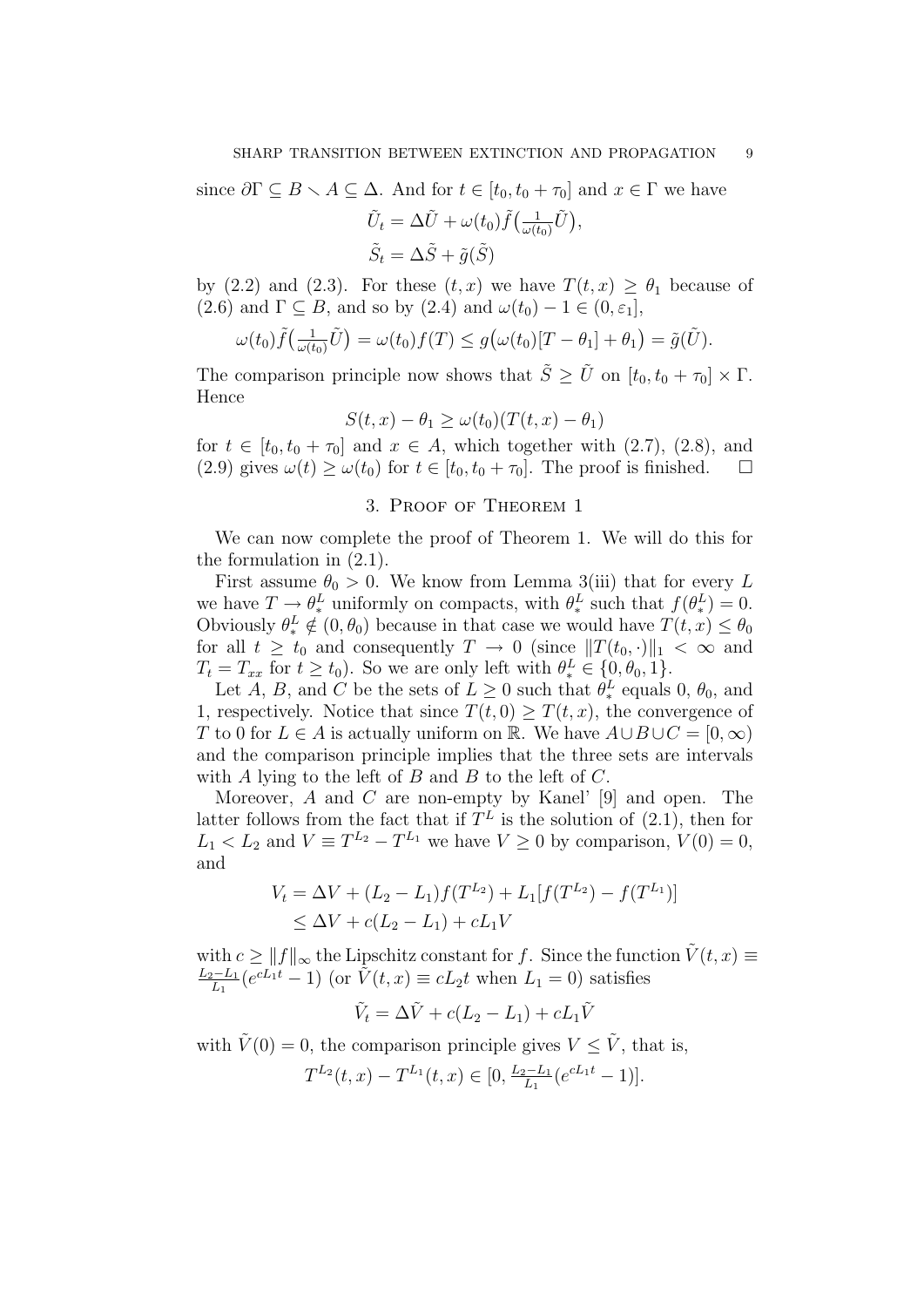since 
$$
\partial \Gamma \subseteq B \setminus A \subseteq \Delta
$$
. And for  $t \in [t_0, t_0 + \tau_0]$  and  $x \in \Gamma$  we have  
\n
$$
\tilde{U}_t = \Delta \tilde{U} + \omega(t_0) \tilde{f}(\frac{1}{\omega(t_0)} \tilde{U}),
$$
\n
$$
\tilde{S}_t = \Delta \tilde{S} + \tilde{g}(\tilde{S})
$$

by (2.2) and (2.3). For these  $(t, x)$  we have  $T(t, x) \ge \theta_1$  because of (2.6) and  $\Gamma \subseteq B$ , and so by (2.4) and  $\omega(t_0) - 1 \in (0, \varepsilon_1]$ ,

$$
\omega(t_0)\tilde{f}\big(\tfrac{1}{\omega(t_0)}\tilde{U}\big)=\omega(t_0)f(T)\leq g\big(\omega(t_0)[T-\theta_1]+\theta_1\big)=\tilde{g}(\tilde{U}).
$$

The comparison principle now shows that  $\tilde{S} \geq \tilde{U}$  on  $[t_0, t_0 + \tau_0] \times \Gamma$ . Hence

$$
S(t, x) - \theta_1 \ge \omega(t_0)(T(t, x) - \theta_1)
$$

for  $t \in [t_0, t_0 + \tau_0]$  and  $x \in A$ , which together with  $(2.7)$ ,  $(2.8)$ , and (2.9) gives  $\omega(t) \geq \omega(t_0)$  for  $t \in [t_0, t_0 + \tau_0]$ . The proof is finished.

## 3. Proof of Theorem 1

We can now complete the proof of Theorem 1. We will do this for the formulation in (2.1).

First assume  $\theta_0 > 0$ . We know from Lemma 3(iii) that for every L we have  $T \to \theta_*^L$  uniformly on compacts, with  $\theta_*^L$  such that  $f(\theta_*^L) = 0$ . Obviously  $\theta_*^L \notin (0, \theta_0)$  because in that case we would have  $T(t, x) \leq \theta_0$ for all  $t \geq t_0$  and consequently  $T \to 0$  (since  $||T(t_0, \cdot)||_1 < \infty$  and  $T_t = T_{xx}$  for  $t \ge t_0$ ). So we are only left with  $\theta_*^L \in \{0, \theta_0, 1\}$ .

Let A, B, and C be the sets of  $L \geq 0$  such that  $\theta_*^L$  equals 0,  $\theta_0$ , and 1, respectively. Notice that since  $T(t, 0) \geq T(t, x)$ , the convergence of T to 0 for  $L \in A$  is actually uniform on R. We have  $A \cup B \cup C = [0, \infty)$ and the comparison principle implies that the three sets are intervals with A lying to the left of B and B to the left of  $C$ .

Moreover,  $A$  and  $C$  are non-empty by Kanel' [9] and open. The latter follows from the fact that if  $T<sup>L</sup>$  is the solution of (2.1), then for  $L_1 < L_2$  and  $V \equiv T^{L_2} - T^{L_1}$  we have  $V \ge 0$  by comparison,  $V(0) = 0$ , and

$$
V_t = \Delta V + (L_2 - L_1)f(T^{L_2}) + L_1[f(T^{L_2}) - f(T^{L_1})]
$$
  
\n
$$
\leq \Delta V + c(L_2 - L_1) + cL_1V
$$

with  $c \ge ||f||_{\infty}$  the Lipschitz constant for f. Since the function  $\tilde{V}(t, x) \equiv$  $L_2-L_1$  $\frac{L_1 - L_1}{L_1} (e^{cL_1 t} - 1)$  (or  $\tilde{V}(t, x) \equiv cL_2 t$  when  $L_1 = 0$ ) satisfies

$$
\tilde{V}_t = \Delta \tilde{V} + c(L_2 - L_1) + cL_1\tilde{V}
$$

with  $\tilde{V}(0) = 0$ , the comparison principle gives  $V \leq \tilde{V}$ , that is,

$$
T^{L_2}(t,x) - T^{L_1}(t,x) \in [0, \frac{L_2 - L_1}{L_1}(e^{cL_1 t} - 1)].
$$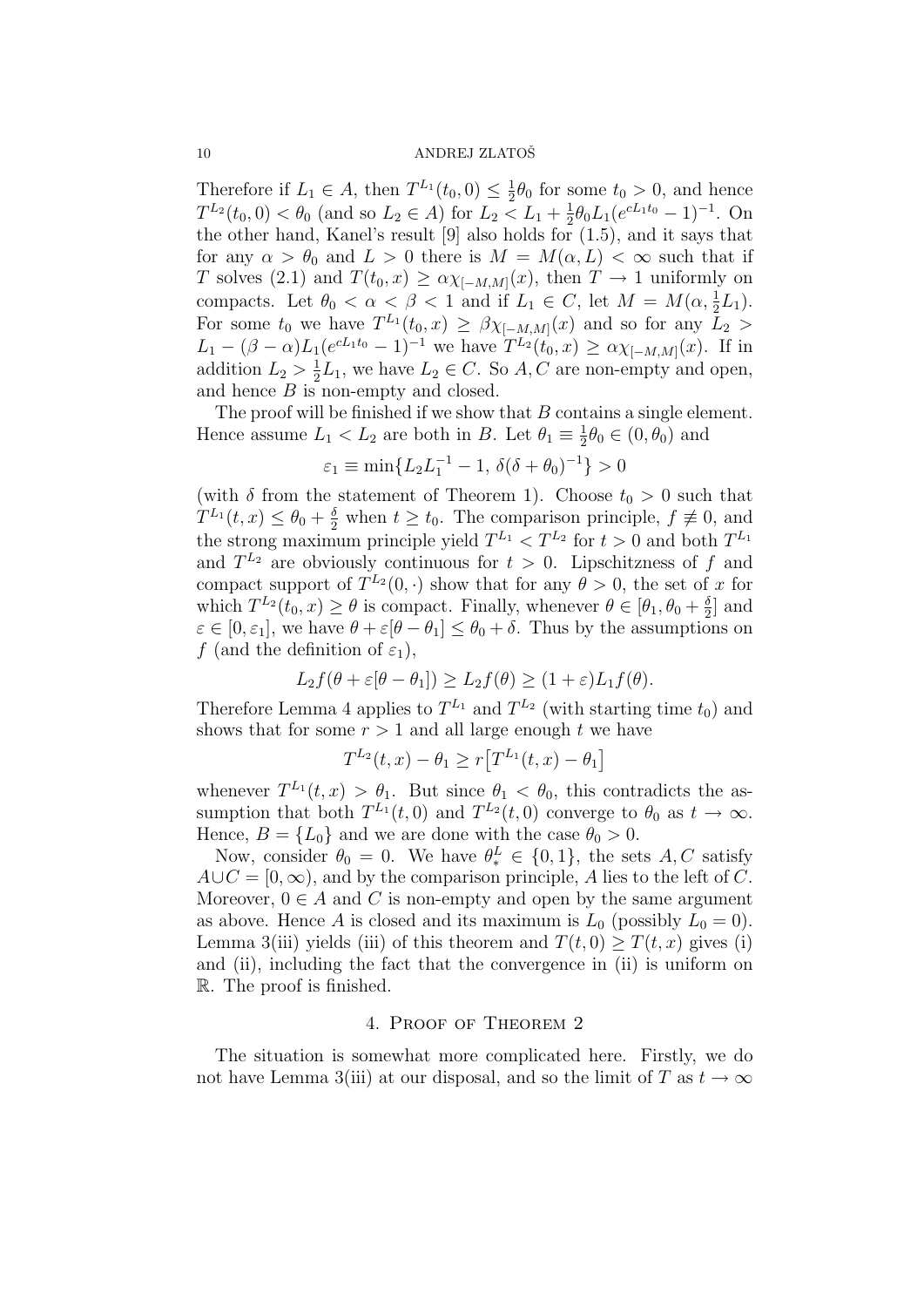Therefore if  $L_1 \in A$ , then  $T^{L_1}(t_0,0) \leq \frac{1}{2}$  $\frac{1}{2}\theta_0$  for some  $t_0 > 0$ , and hence  $T^{L_2}(t_0,0) < \theta_0$  (and so  $L_2 \in A$ ) for  $L_2 < L_1 + \frac{1}{2}$  $\frac{1}{2}\theta_0 L_1 (e^{cL_1 t_0} - 1)^{-1}$ . On the other hand, Kanel's result [9] also holds for (1.5), and it says that for any  $\alpha > \theta_0$  and  $L > 0$  there is  $M = M(\alpha, L) < \infty$  such that if T solves (2.1) and  $T(t_0, x) \ge \alpha \chi_{[-M,M]}(x)$ , then  $T \to 1$  uniformly on compacts. Let  $\theta_0 < \alpha < \beta < 1$  and if  $L_1 \in C$ , let  $M = M(\alpha, \frac{1}{2}L_1)$ . For some  $t_0$  we have  $T^{L_1}(t_0,x) \geq \beta \chi_{[-M,M]}(x)$  and so for any  $L_2 >$  $L_1 - (\beta - \alpha)L_1(e^{cL_1t_0} - 1)^{-1}$  we have  $T^{L_2}(t_0, x) \ge \alpha \chi_{[-M,M]}(x)$ . If in addition  $L_2 > \frac{1}{2}$  $\frac{1}{2}L_1$ , we have  $L_2 \in C$ . So A, C are non-empty and open, and hence  $B$  is non-empty and closed.

The proof will be finished if we show that B contains a single element. Hence assume  $L_1 < L_2$  are both in B. Let  $\theta_1 \equiv \frac{1}{2}$  $\frac{1}{2}\theta_0 \in (0, \theta_0)$  and

$$
\varepsilon_1 \equiv \min\{L_2 L_1^{-1} - 1, \, \delta(\delta + \theta_0)^{-1}\} > 0
$$

(with  $\delta$  from the statement of Theorem 1). Choose  $t_0 > 0$  such that  $T^{L_1}(t,x) \leq \theta_0 + \frac{\delta}{2}$  when  $t \geq t_0$ . The comparison principle,  $f \not\equiv 0$ , and the strong maximum principle yield  $T^{L_1} < T^{L_2}$  for  $t > 0$  and both  $T^{L_1}$ and  $T^{L_2}$  are obviously continuous for  $t > 0$ . Lipschitzness of f and compact support of  $T^{L_2}(0, \cdot)$  show that for any  $\theta > 0$ , the set of x for which  $T^{L_2}(t_0, x) \geq \theta$  is compact. Finally, whenever  $\theta \in [\theta_1, \theta_0 + \frac{\delta}{2}]$  $\frac{\delta}{2}$  and  $\varepsilon \in [0, \varepsilon_1],$  we have  $\theta + \varepsilon[\theta - \theta_1] \leq \theta_0 + \delta$ . Thus by the assumptions on f (and the definition of  $\varepsilon_1$ ),

$$
L_2 f(\theta + \varepsilon[\theta - \theta_1]) \ge L_2 f(\theta) \ge (1 + \varepsilon)L_1 f(\theta).
$$

Therefore Lemma 4 applies to  $T^{L_1}$  and  $T^{L_2}$  (with starting time  $t_0$ ) and shows that for some  $r > 1$  and all large enough t we have

$$
T^{L_2}(t,x) - \theta_1 \ge r[T^{L_1}(t,x) - \theta_1]
$$

whenever  $T^{L_1}(t,x) > \theta_1$ . But since  $\theta_1 < \theta_0$ , this contradicts the assumption that both  $T^{L_1}(t,0)$  and  $T^{L_2}(t,0)$  converge to  $\theta_0$  as  $t \to \infty$ . Hence,  $B = \{L_0\}$  and we are done with the case  $\theta_0 > 0$ .

Now, consider  $\theta_0 = 0$ . We have  $\theta_*^L \in \{0, 1\}$ , the sets  $A, C$  satisfy  $A\cup C=[0,\infty)$ , and by the comparison principle, A lies to the left of C. Moreover,  $0 \in A$  and C is non-empty and open by the same argument as above. Hence A is closed and its maximum is  $L_0$  (possibly  $L_0 = 0$ ). Lemma 3(iii) yields (iii) of this theorem and  $T(t, 0) > T(t, x)$  gives (i) and (ii), including the fact that the convergence in (ii) is uniform on R. The proof is finished.

### 4. Proof of Theorem 2

The situation is somewhat more complicated here. Firstly, we do not have Lemma 3(iii) at our disposal, and so the limit of T as  $t \to \infty$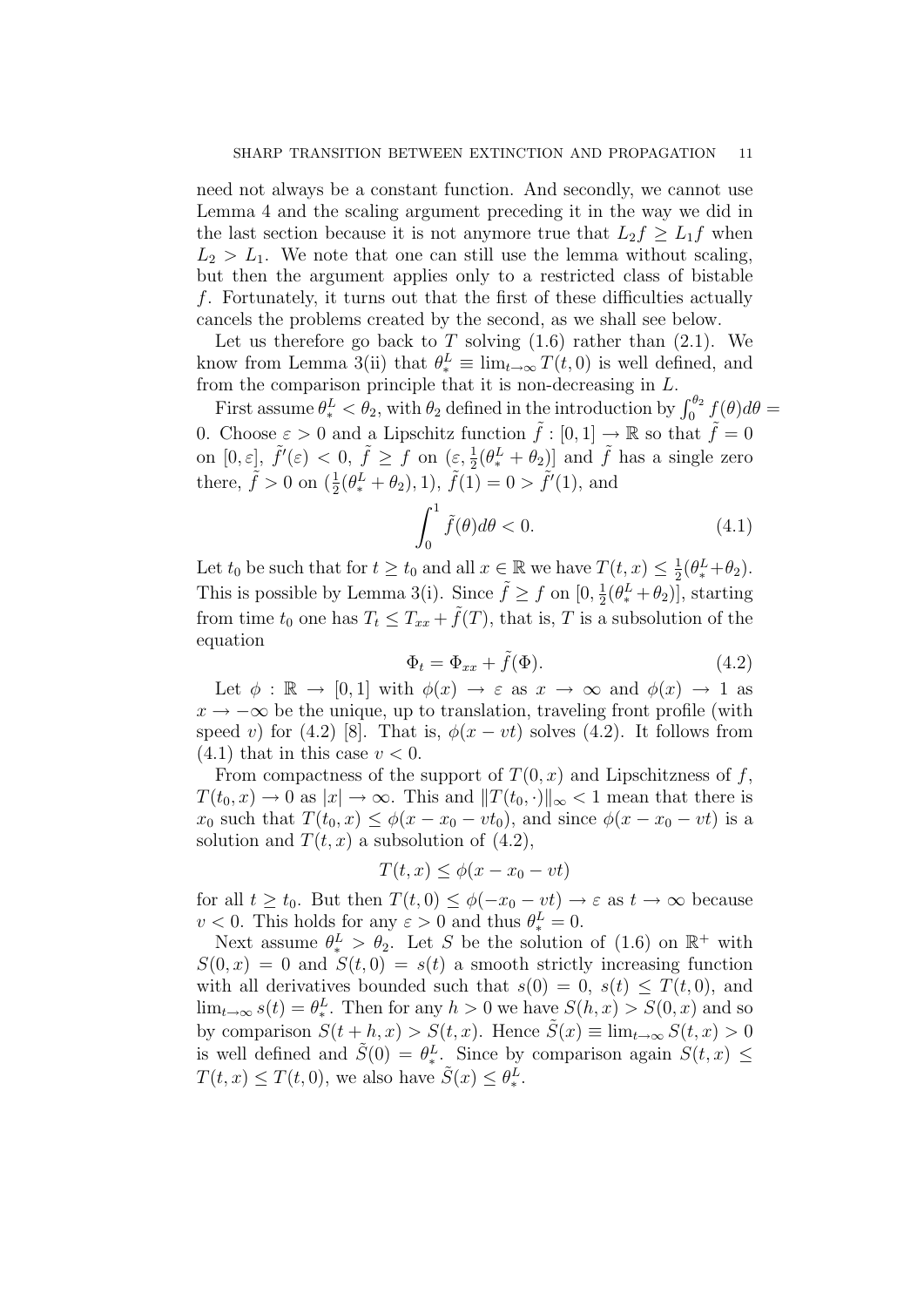need not always be a constant function. And secondly, we cannot use Lemma 4 and the scaling argument preceding it in the way we did in the last section because it is not anymore true that  $L_2 f \geq L_1 f$  when  $L_2 > L_1$ . We note that one can still use the lemma without scaling, but then the argument applies only to a restricted class of bistable f. Fortunately, it turns out that the first of these difficulties actually cancels the problems created by the second, as we shall see below.

Let us therefore go back to T solving  $(1.6)$  rather than  $(2.1)$ . We know from Lemma 3(ii) that  $\theta_*^L \equiv \lim_{t \to \infty} T(t,0)$  is well defined, and from the comparison principle that it is non-decreasing in L.

First assume  $\theta_*^L < \theta_2$ , with  $\theta_2$  defined in the introduction by  $\int_0^{\theta_2} f(\theta) d\theta =$ 0. Choose  $\varepsilon > 0$  and a Lipschitz function  $\tilde{f} : [0,1] \to \mathbb{R}$  so that  $\tilde{f} = 0$ on  $[0, \varepsilon], \tilde{f}'(\varepsilon) < 0, \tilde{f} \ge f$  on  $(\varepsilon, \frac{1}{2}(\theta_*^L + \theta_2))$  and  $\tilde{f}$  has a single zero there,  $\tilde{f} > 0$  on  $(\frac{1}{2}(\theta_{*}^{L} + \theta_{2}), 1), \tilde{f}(1) = 0 > \tilde{f}'(1)$ , and

$$
\int_0^1 \tilde{f}(\theta)d\theta < 0. \tag{4.1}
$$

Let  $t_0$  be such that for  $t \geq t_0$  and all  $x \in \mathbb{R}$  we have  $T(t, x) \leq \frac{1}{2}$  $\frac{1}{2}(\theta_{*}^{L}+\theta_{2}).$ This is possible by Lemma 3(i). Since  $\tilde{f} \geq f$  on  $[0, \frac{1}{2}]$  $\frac{1}{2}(\theta^L_* + \theta_2)$ , starting from time  $t_0$  one has  $T_t \leq T_{xx} + \tilde{f}(T)$ , that is, T is a subsolution of the equation

$$
\Phi_t = \Phi_{xx} + \tilde{f}(\Phi). \tag{4.2}
$$

Let  $\phi : \mathbb{R} \to [0,1]$  with  $\phi(x) \to \varepsilon$  as  $x \to \infty$  and  $\phi(x) \to 1$  as  $x \to -\infty$  be the unique, up to translation, traveling front profile (with speed v) for (4.2) [8]. That is,  $\phi(x - vt)$  solves (4.2). It follows from  $(4.1)$  that in this case  $v < 0$ .

From compactness of the support of  $T(0, x)$  and Lipschitzness of f,  $T(t_0, x) \to 0$  as  $|x| \to \infty$ . This and  $||T(t_0, \cdot)||_{\infty} < 1$  mean that there is  $x_0$  such that  $T(t_0, x) \leq \phi(x - x_0 - vt_0)$ , and since  $\phi(x - x_0 - vt)$  is a solution and  $T(t, x)$  a subsolution of  $(4.2)$ ,

$$
T(t, x) \le \phi(x - x_0 - vt)
$$

for all  $t \geq t_0$ . But then  $T(t, 0) \leq \phi(-x_0 - vt) \to \varepsilon$  as  $t \to \infty$  because  $v < 0$ . This holds for any  $\varepsilon > 0$  and thus  $\theta_*^L = 0$ .

Next assume  $\theta_*^L > \theta_2$ . Let S be the solution of (1.6) on  $\mathbb{R}^+$  with  $S(0, x) = 0$  and  $S(t, 0) = s(t)$  a smooth strictly increasing function with all derivatives bounded such that  $s(0) = 0$ ,  $s(t) \leq T(t, 0)$ , and  $\lim_{t\to\infty} s(t) = \theta_*^L$ . Then for any  $h > 0$  we have  $S(h, x) > S(0, x)$  and so by comparison  $S(t + h, x) > S(t, x)$ . Hence  $\tilde{S}(x) \equiv \lim_{t \to \infty} S(t, x) > 0$ is well defined and  $\tilde{S}(0) = \theta_*^L$ . Since by comparison again  $S(t, x) \leq$  $T(t, x) \leq T(t, 0)$ , we also have  $\tilde{S}(x) \leq \theta_*^L$ .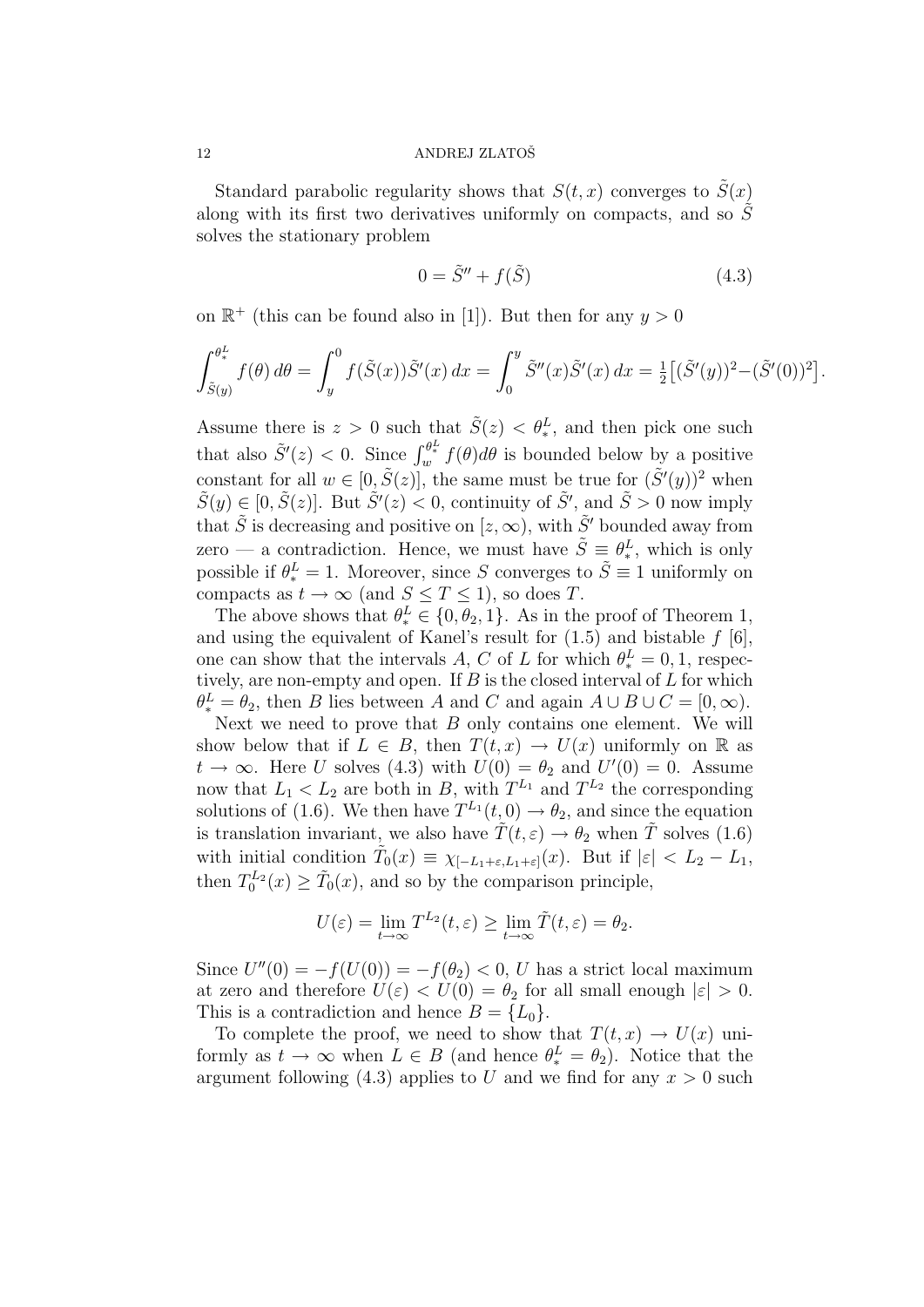Standard parabolic regularity shows that  $S(t, x)$  converges to  $\tilde{S}(x)$ along with its first two derivatives uniformly on compacts, and so  $\tilde{S}$ solves the stationary problem

$$
0 = \tilde{S}'' + f(\tilde{S})\tag{4.3}
$$

on  $\mathbb{R}^+$  (this can be found also in [1]). But then for any  $y > 0$ 

$$
\int_{\tilde{S}(y)}^{\theta^L_*} f(\theta) d\theta = \int_y^0 f(\tilde{S}(x)) \tilde{S}'(x) dx = \int_0^y \tilde{S}''(x) \tilde{S}'(x) dx = \frac{1}{2} [(\tilde{S}'(y))^2 - (\tilde{S}'(0))^2].
$$

Assume there is  $z > 0$  such that  $\tilde{S}(z) < \theta_*^L$ , and then pick one such that also  $\tilde{S}'(z) < 0$ . Since  $\int_{w}^{\theta^L_*} f(\theta) d\theta$  is bounded below by a positive constant for all  $w \in [0, \tilde{S}(z)]$ , the same must be true for  $(\tilde{S}'(y))^2$  when  $\tilde{S}(y) \in [0, \tilde{S}(z)]$ . But  $\tilde{S}'(z) < 0$ , continuity of  $\tilde{S}'$ , and  $\tilde{S} > 0$  now imply that  $\tilde{S}$  is decreasing and positive on  $[z,\infty)$ , with  $\tilde{S}'$  bounded away from zero — a contradiction. Hence, we must have  $\tilde{S} \equiv \theta_*^L$ , which is only possible if  $\theta_*^L = 1$ . Moreover, since S converges to  $\tilde{S} \equiv 1$  uniformly on compacts as  $t \to \infty$  (and  $S \leq T \leq 1$ ), so does T.

The above shows that  $\theta_*^L \in \{0, \theta_2, 1\}$ . As in the proof of Theorem 1, and using the equivalent of Kanel's result for  $(1.5)$  and bistable f [6], one can show that the intervals A, C of L for which  $\theta_*^L = 0, 1$ , respectively, are non-empty and open. If  $B$  is the closed interval of  $L$  for which  $\theta_*^L = \theta_2$ , then B lies between A and C and again  $A \cup B \cup C = [0, \infty)$ .

Next we need to prove that  $B$  only contains one element. We will show below that if  $L \in B$ , then  $T(t, x) \to U(x)$  uniformly on R as  $t \to \infty$ . Here U solves (4.3) with  $U(0) = \theta_2$  and  $U'(0) = 0$ . Assume now that  $L_1 < L_2$  are both in B, with  $T^{L_1}$  and  $T^{L_2}$  the corresponding solutions of (1.6). We then have  $T^{L_1}(t,0) \to \theta_2$ , and since the equation is translation invariant, we also have  $\tilde{T}(t, \varepsilon) \to \theta_2$  when  $\tilde{T}$  solves (1.6) with initial condition  $\tilde{T}_0(x) \equiv \chi_{[-L_1+\varepsilon, L_1+\varepsilon]}(x)$ . But if  $|\varepsilon| < L_2 - L_1$ , then  $T_0^{L_2}(x) \geq \tilde{T}_0(x)$ , and so by the comparison principle,

$$
U(\varepsilon) = \lim_{t \to \infty} T^{L_2}(t, \varepsilon) \ge \lim_{t \to \infty} \tilde{T}(t, \varepsilon) = \theta_2.
$$

Since  $U''(0) = -f(U(0)) = -f(\theta_2) < 0$ , U has a strict local maximum at zero and therefore  $U(\varepsilon) < U(0) = \theta_2$  for all small enough  $|\varepsilon| > 0$ . This is a contradiction and hence  $B = \{L_0\}.$ 

To complete the proof, we need to show that  $T(t, x) \to U(x)$  uniformly as  $t \to \infty$  when  $L \in B$  (and hence  $\theta_*^L = \theta_2$ ). Notice that the argument following (4.3) applies to U and we find for any  $x > 0$  such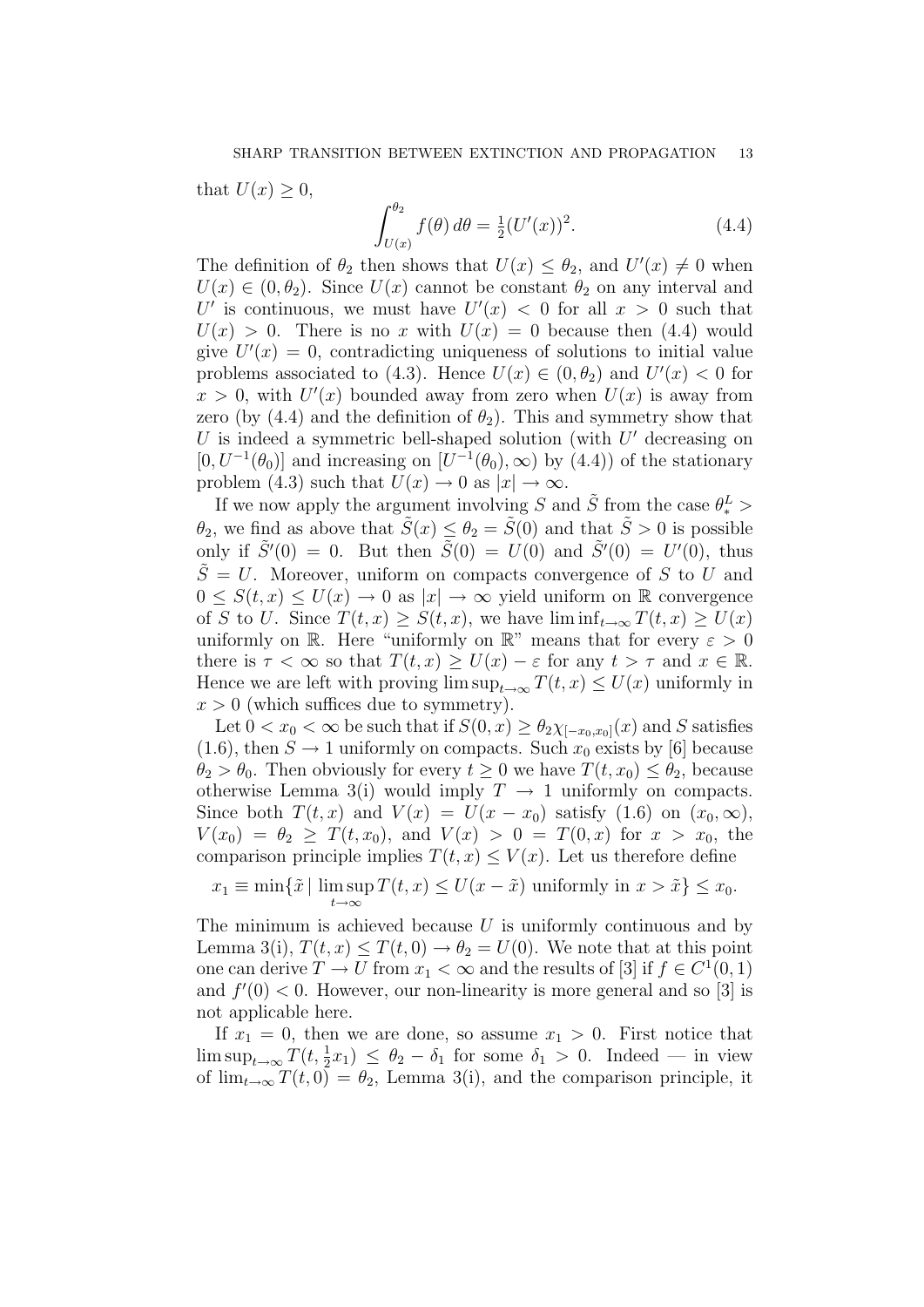that  $U(x) \geq 0$ ,

$$
\int_{U(x)}^{\theta_2} f(\theta) d\theta = \frac{1}{2} (U'(x))^2.
$$
 (4.4)

The definition of  $\theta_2$  then shows that  $U(x) \leq \theta_2$ , and  $U'(x) \neq 0$  when  $U(x) \in (0, \theta_2)$ . Since  $U(x)$  cannot be constant  $\theta_2$  on any interval and U' is continuous, we must have  $U'(x) < 0$  for all  $x > 0$  such that  $U(x) > 0$ . There is no x with  $U(x) = 0$  because then (4.4) would give  $U'(x) = 0$ , contradicting uniqueness of solutions to initial value problems associated to (4.3). Hence  $U(x) \in (0, \theta_2)$  and  $U'(x) < 0$  for  $x > 0$ , with  $U'(x)$  bounded away from zero when  $U(x)$  is away from zero (by (4.4) and the definition of  $\theta_2$ ). This and symmetry show that  $U$  is indeed a symmetric bell-shaped solution (with  $U'$  decreasing on  $[0, U^{-1}(\theta_0)]$  and increasing on  $[U^{-1}(\theta_0), \infty)$  by  $(4.4)$  of the stationary problem (4.3) such that  $U(x) \to 0$  as  $|x| \to \infty$ .

If we now apply the argument involving S and  $\tilde{S}$  from the case  $\theta_*^L$  >  $\theta_2$ , we find as above that  $\tilde{S}(x) \leq \theta_2 = \tilde{S}(0)$  and that  $\tilde{S} > 0$  is possible only if  $\tilde{S}'(0) = 0$ . But then  $\tilde{S}(0) = U(0)$  and  $\tilde{S}'(0) = U'(0)$ , thus  $\tilde{S} = U$ . Moreover, uniform on compacts convergence of S to U and  $0 \leq S(t, x) \leq U(x) \to 0$  as  $|x| \to \infty$  yield uniform on R convergence of S to U. Since  $T(t, x) \geq S(t, x)$ , we have  $\liminf_{t\to\infty} T(t, x) \geq U(x)$ uniformly on R. Here "uniformly on R" means that for every  $\varepsilon > 0$ there is  $\tau < \infty$  so that  $T(t, x) \geq U(x) - \varepsilon$  for any  $t > \tau$  and  $x \in \mathbb{R}$ . Hence we are left with proving  $\limsup_{t\to\infty} T(t,x) \leq U(x)$  uniformly in  $x > 0$  (which suffices due to symmetry).

Let  $0 < x_0 < \infty$  be such that if  $S(0, x) \ge \theta_2 \chi_{[-x_0, x_0]}(x)$  and S satisfies (1.6), then  $S \to 1$  uniformly on compacts. Such  $x_0$  exists by [6] because  $\theta_2 > \theta_0$ . Then obviously for every  $t \geq 0$  we have  $T(t, x_0) \leq \theta_2$ , because otherwise Lemma 3(i) would imply  $T \to 1$  uniformly on compacts. Since both  $T(t, x)$  and  $V(x) = U(x - x_0)$  satisfy  $(1.6)$  on  $(x_0, \infty)$ ,  $V(x_0) = \theta_2 \geq T(t, x_0)$ , and  $V(x) > 0 = T(0, x)$  for  $x > x_0$ , the comparison principle implies  $T(t, x) \leq V(x)$ . Let us therefore define

 $x_1 \equiv \min\{\tilde{x} \mid \limsup T(t,x) \leq U(x - \tilde{x}) \text{ uniformly in } x > \tilde{x}\} \leq x_0.$  $t\rightarrow\infty$ 

The minimum is achieved because  $U$  is uniformly continuous and by Lemma 3(i),  $T(t, x) \leq T(t, 0) \rightarrow \theta_2 = U(0)$ . We note that at this point one can derive  $T \to U$  from  $x_1 < \infty$  and the results of [3] if  $f \in C^1(0, 1)$ and  $f'(0) < 0$ . However, our non-linearity is more general and so [3] is not applicable here.

If  $x_1 = 0$ , then we are done, so assume  $x_1 > 0$ . First notice that  $\limsup_{t\to\infty} T(t,\frac{1}{2}x_1) \leq \theta_2 - \delta_1$  for some  $\delta_1 > 0$ . Indeed — in view of  $\lim_{t\to\infty} T(t,0) = \theta_2$ , Lemma 3(i), and the comparison principle, it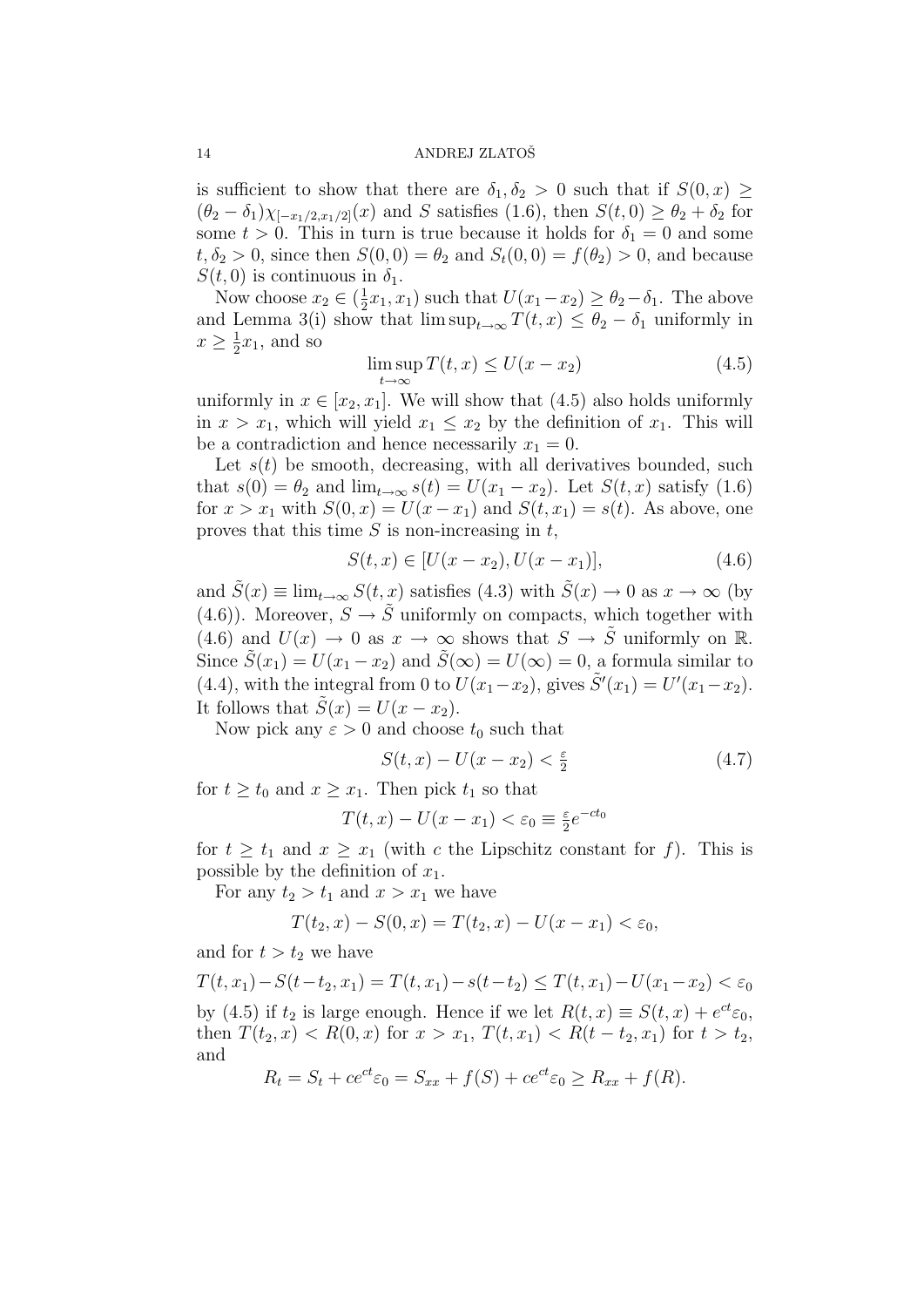is sufficient to show that there are  $\delta_1, \delta_2 > 0$  such that if  $S(0, x) \geq$  $(\theta_2 - \delta_1)\chi_{[-x_1/2,x_1/2]}(x)$  and S satisfies (1.6), then  $S(t,0) \geq \theta_2 + \delta_2$  for some  $t > 0$ . This in turn is true because it holds for  $\delta_1 = 0$  and some  $t, \delta_2 > 0$ , since then  $S(0,0) = \theta_2$  and  $S_t(0,0) = f(\theta_2) > 0$ , and because  $S(t, 0)$  is continuous in  $\delta_1$ .

Now choose  $x_2 \in (\frac{1}{2})$  $(\frac{1}{2}x_1, x_1)$  such that  $U(x_1-x_2) \ge \theta_2-\delta_1$ . The above and Lemma 3(i) show that  $\limsup_{t\to\infty} T(t,x) \leq \theta_2 - \delta_1$  uniformly in  $x \geq \frac{1}{2}$  $\frac{1}{2}x_1$ , and so

$$
\limsup_{t \to \infty} T(t, x) \le U(x - x_2) \tag{4.5}
$$

uniformly in  $x \in [x_2, x_1]$ . We will show that (4.5) also holds uniformly in  $x > x_1$ , which will yield  $x_1 \leq x_2$  by the definition of  $x_1$ . This will be a contradiction and hence necessarily  $x_1 = 0$ .

Let  $s(t)$  be smooth, decreasing, with all derivatives bounded, such that  $s(0) = \theta_2$  and  $\lim_{t\to\infty} s(t) = U(x_1 - x_2)$ . Let  $S(t, x)$  satisfy (1.6) for  $x > x_1$  with  $S(0, x) = U(x - x_1)$  and  $S(t, x_1) = s(t)$ . As above, one proves that this time  $S$  is non-increasing in  $t$ ,

$$
S(t, x) \in [U(x - x_2), U(x - x_1)], \tag{4.6}
$$

and  $\tilde{S}(x) \equiv \lim_{t \to \infty} S(t, x)$  satisfies (4.3) with  $\tilde{S}(x) \to 0$  as  $x \to \infty$  (by (4.6)). Moreover,  $S \to \tilde{S}$  uniformly on compacts, which together with (4.6) and  $U(x) \to 0$  as  $x \to \infty$  shows that  $S \to \tilde{S}$  uniformly on R. Since  $\tilde{S}(x_1) = U(x_1 - x_2)$  and  $\tilde{S}(\infty) = U(\infty) = 0$ , a formula similar to (4.4), with the integral from 0 to  $U(x_1-x_2)$ , gives  $\tilde{S}'(x_1) = U'(x_1-x_2)$ . It follows that  $\tilde{S}(x) = U(x - x_2)$ .

Now pick any  $\varepsilon > 0$  and choose  $t_0$  such that

$$
S(t,x) - U(x - x_2) < \frac{\varepsilon}{2} \tag{4.7}
$$

for  $t > t_0$  and  $x > x_1$ . Then pick  $t_1$  so that

$$
T(t,x) - U(x - x_1) < \varepsilon_0 \equiv \frac{\varepsilon}{2} e^{-ct_0}
$$

for  $t \geq t_1$  and  $x \geq x_1$  (with c the Lipschitz constant for f). This is possible by the definition of  $x_1$ .

For any  $t_2 > t_1$  and  $x > x_1$  we have

$$
T(t_2, x) - S(0, x) = T(t_2, x) - U(x - x_1) < \varepsilon_0,
$$

and for  $t > t_2$  we have

 $T(t, x_1) - S(t-t_2, x_1) = T(t, x_1) - s(t-t_2) \leq T(t, x_1) - U(x_1-x_2) < \varepsilon_0$ by (4.5) if  $t_2$  is large enough. Hence if we let  $R(t, x) \equiv S(t, x) + e^{ct} \varepsilon_0$ , then  $T(t_2, x) < R(0, x)$  for  $x > x_1$ ,  $T(t, x_1) < R(t - t_2, x_1)$  for  $t > t_2$ , and

$$
R_t = S_t + ce^{ct} \varepsilon_0 = S_{xx} + f(S) + ce^{ct} \varepsilon_0 \ge R_{xx} + f(R).
$$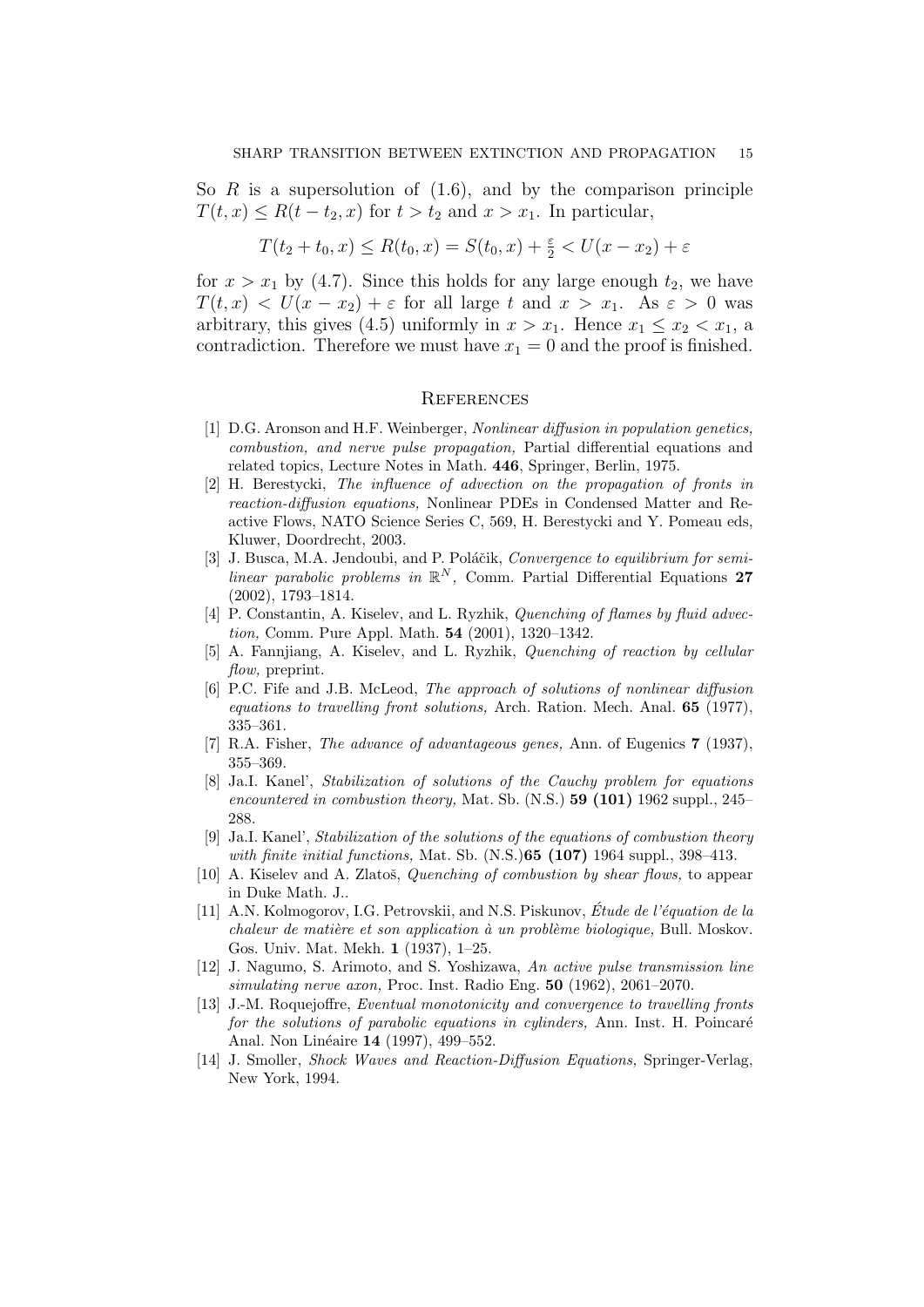So  $R$  is a supersolution of  $(1.6)$ , and by the comparison principle  $T(t, x) \leq R(t - t_2, x)$  for  $t > t_2$  and  $x > x_1$ . In particular,

$$
T(t_2 + t_0, x) \le R(t_0, x) = S(t_0, x) + \frac{\varepsilon}{2} < U(x - x_2) + \varepsilon
$$

for  $x > x_1$  by (4.7). Since this holds for any large enough  $t_2$ , we have  $T(t, x) < U(x - x_2) + \varepsilon$  for all large t and  $x > x_1$ . As  $\varepsilon > 0$  was arbitrary, this gives (4.5) uniformly in  $x > x_1$ . Hence  $x_1 \le x_2 < x_1$ , a contradiction. Therefore we must have  $x_1 = 0$  and the proof is finished.

## **REFERENCES**

- [1] D.G. Aronson and H.F. Weinberger, Nonlinear diffusion in population genetics, combustion, and nerve pulse propagation, Partial differential equations and related topics, Lecture Notes in Math. 446, Springer, Berlin, 1975.
- [2] H. Berestycki, The influence of advection on the propagation of fronts in reaction-diffusion equations, Nonlinear PDEs in Condensed Matter and Reactive Flows, NATO Science Series C, 569, H. Berestycki and Y. Pomeau eds, Kluwer, Doordrecht, 2003.
- [3] J. Busca, M.A. Jendoubi, and P. Poláčik, Convergence to equilibrium for semilinear parabolic problems in  $\mathbb{R}^N$ , Comm. Partial Differential Equations 27 (2002), 1793–1814.
- [4] P. Constantin, A. Kiselev, and L. Ryzhik, *Quenching of flames by fluid advec*tion, Comm. Pure Appl. Math. 54 (2001), 1320–1342.
- [5] A. Fannjiang, A. Kiselev, and L. Ryzhik, Quenching of reaction by cellular flow, preprint.
- [6] P.C. Fife and J.B. McLeod, The approach of solutions of nonlinear diffusion equations to travelling front solutions, Arch. Ration. Mech. Anal. 65 (1977), 335–361.
- [7] R.A. Fisher, The advance of advantageous genes, Ann. of Eugenics 7 (1937), 355–369.
- [8] Ja.I. Kanel', Stabilization of solutions of the Cauchy problem for equations encountered in combustion theory, Mat. Sb.  $(N.S.)$  59 (101) 1962 suppl., 245– 288.
- [9] Ja.I. Kanel', Stabilization of the solutions of the equations of combustion theory with finite initial functions, Mat. Sb. (N.S.) **65 (107)** 1964 suppl., 398-413.
- [10] A. Kiselev and A. Zlatoš, *Quenching of combustion by shear flows*, to appear in Duke Math. J..
- [11] A.N. Kolmogorov, I.G. Petrovskii, and N.S. Piskunov, Étude de l'équation de la  $chaleur de matière et son application à un problème biologique, Bull. Moskov.$ Gos. Univ. Mat. Mekh. 1 (1937), 1–25.
- [12] J. Nagumo, S. Arimoto, and S. Yoshizawa, An active pulse transmission line simulating nerve axon, Proc. Inst. Radio Eng. 50 (1962), 2061–2070.
- [13] J.-M. Roquejoffre, Eventual monotonicity and convergence to travelling fronts for the solutions of parabolic equations in cylinders, Ann. Inst. H. Poincaré Anal. Non Linéaire 14 (1997), 499–552.
- [14] J. Smoller, Shock Waves and Reaction-Diffusion Equations, Springer-Verlag, New York, 1994.